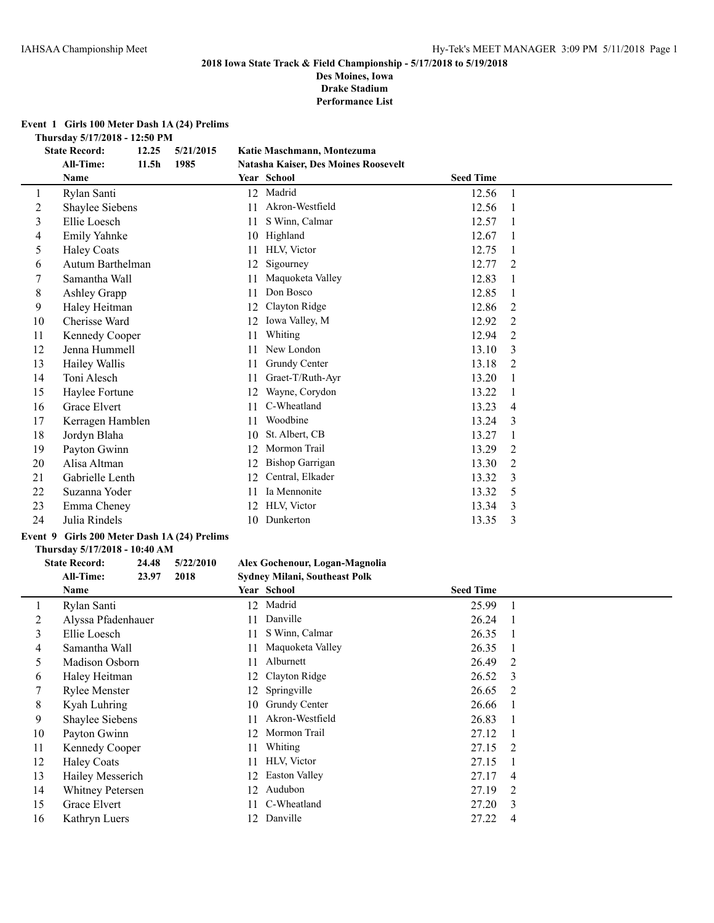**Des Moines, Iowa Drake Stadium**

**Performance List**

### **Event 1 Girls 100 Meter Dash 1A (24) Prelims**

**Thursday 5/17/2018 - 12:50 PM**

|    | <b>State Record:</b> | 12.25             | 5/21/2015 |    | Katie Maschmann, Montezuma           |                  |                |
|----|----------------------|-------------------|-----------|----|--------------------------------------|------------------|----------------|
|    | All-Time:            | 11.5 <sub>h</sub> | 1985      |    | Natasha Kaiser, Des Moines Roosevelt |                  |                |
|    | Name                 |                   |           |    | Year School                          | <b>Seed Time</b> |                |
| 1  | Rylan Santi          |                   |           |    | 12 Madrid                            | 12.56            | $\mathbf{1}$   |
| 2  | Shaylee Siebens      |                   |           | 11 | Akron-Westfield                      | 12.56            | $\mathbf{1}$   |
| 3  | Ellie Loesch         |                   |           | 11 | S Winn, Calmar                       | 12.57            |                |
| 4  | <b>Emily Yahnke</b>  |                   |           | 10 | Highland                             | 12.67            |                |
| 5  | <b>Haley Coats</b>   |                   |           | 11 | HLV, Victor                          | 12.75            | 1              |
| 6  | Autum Barthelman     |                   |           | 12 | Sigourney                            | 12.77            | $\overline{2}$ |
| 7  | Samantha Wall        |                   |           | 11 | Maquoketa Valley                     | 12.83            |                |
| 8  | Ashley Grapp         |                   |           | 11 | Don Bosco                            | 12.85            |                |
| 9  | Haley Heitman        |                   |           | 12 | Clayton Ridge                        | 12.86            | 2              |
| 10 | Cherisse Ward        |                   |           | 12 | Iowa Valley, M                       | 12.92            | $\overline{2}$ |
| 11 | Kennedy Cooper       |                   |           | 11 | Whiting                              | 12.94            | $\overline{2}$ |
| 12 | Jenna Hummell        |                   |           | 11 | New London                           | 13.10            | 3              |
| 13 | Hailey Wallis        |                   |           | 11 | Grundy Center                        | 13.18            | 2              |
| 14 | Toni Alesch          |                   |           | 11 | Graet-T/Ruth-Ayr                     | 13.20            |                |
| 15 | Haylee Fortune       |                   |           | 12 | Wayne, Corydon                       | 13.22            |                |
| 16 | Grace Elvert         |                   |           | 11 | C-Wheatland                          | 13.23            | 4              |
| 17 | Kerragen Hamblen     |                   |           | 11 | Woodbine                             | 13.24            | 3              |
| 18 | Jordyn Blaha         |                   |           | 10 | St. Albert, CB                       | 13.27            | 1              |
| 19 | Payton Gwinn         |                   |           | 12 | Mormon Trail                         | 13.29            | 2              |
| 20 | Alisa Altman         |                   |           | 12 | <b>Bishop Garrigan</b>               | 13.30            | 2              |
| 21 | Gabrielle Lenth      |                   |           | 12 | Central, Elkader                     | 13.32            | 3              |
| 22 | Suzanna Yoder        |                   |           | 11 | Ia Mennonite                         | 13.32            | 5              |
| 23 | Emma Cheney          |                   |           | 12 | HLV, Victor                          | 13.34            | 3              |
| 24 | Julia Rindels        |                   |           | 10 | Dunkerton                            | 13.35            | 3              |
|    |                      |                   |           |    |                                      |                  |                |

# **Event 9 Girls 200 Meter Dash 1A (24) Prelims**

# **Thursday 5/17/2018 - 10:40 AM**

### **State Record: 24.48 5/22/2010 Alex Gochenour, Logan-Magnolia All-Time: 23.97 2018 Sydney Milani, Southeast Polk**

|    | Name               |     | Year School         | <b>Seed Time</b> |                          |
|----|--------------------|-----|---------------------|------------------|--------------------------|
|    | Rylan Santi        |     | 12 Madrid           | 25.99            |                          |
| 2  | Alyssa Pfadenhauer |     | 11 Danville         | 26.24            | $\overline{1}$           |
| 3  | Ellie Loesch       | 11  | S Winn, Calmar      | 26.35            | $\overline{\phantom{0}}$ |
| 4  | Samantha Wall      |     | 11 Maquoketa Valley | 26.35            |                          |
| 5  | Madison Osborn     | 11  | Alburnett           | 26.49            | 2                        |
| 6  | Haley Heitman      |     | 12 Clayton Ridge    | 26.52 3          |                          |
|    | Rylee Menster      |     | 12 Springville      | 26.65 2          |                          |
| 8  | Kyah Luhring       |     | 10 Grundy Center    | 26.66            |                          |
| 9  | Shaylee Siebens    | 11. | Akron-Westfield     | 26.83            |                          |
| 10 | Payton Gwinn       |     | 12 Mormon Trail     | 27.12            |                          |
| 11 | Kennedy Cooper     |     | 11 Whiting          | 27.15            | $\overline{2}$           |
| 12 | <b>Haley Coats</b> |     | 11 HLV, Victor      | 27.15            |                          |
| 13 | Hailey Messerich   | 12. | Easton Valley       | 27.17            | $\overline{4}$           |
| 14 | Whitney Petersen   | 12. | Audubon             | 27.19            | 2                        |
| 15 | Grace Elvert       |     | 11 C-Wheatland      | 27.20            | - 3                      |
| 16 | Kathryn Luers      |     | 12 Danville         | 27.22            | 4                        |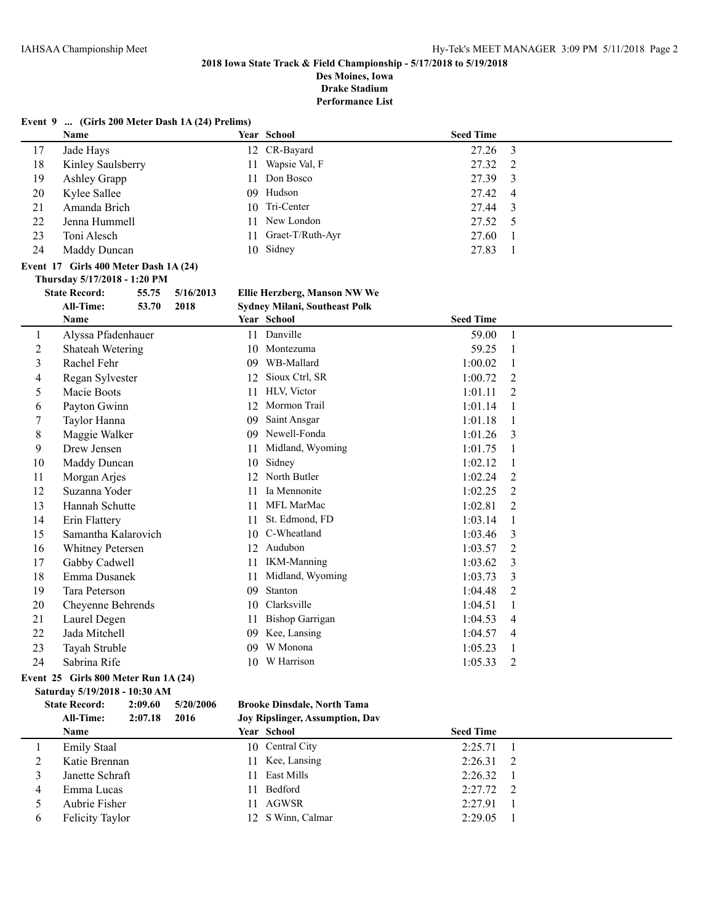**Des Moines, Iowa Drake Stadium**

**Performance List**

|                | Event 9  (Girls 200 Meter Dash 1A (24) Prelims) |       |           |    |                                      |                  |                |
|----------------|-------------------------------------------------|-------|-----------|----|--------------------------------------|------------------|----------------|
|                | Name                                            |       |           |    | Year School                          | <b>Seed Time</b> |                |
| 17             | Jade Hays                                       |       |           |    | 12 CR-Bayard                         | 27.26            | $\mathfrak{Z}$ |
| 18             | Kinley Saulsberry                               |       |           | 11 | Wapsie Val, F                        | 27.32            | $\overline{2}$ |
| 19             | Ashley Grapp                                    |       |           | 11 | Don Bosco                            | 27.39            | 3              |
| 20             | Kylee Sallee                                    |       |           |    | 09 Hudson                            | 27.42            | 4              |
| 21             | Amanda Brich                                    |       |           |    | 10 Tri-Center                        | 27.44            | 3              |
| 22             | Jenna Hummell                                   |       |           | 11 | New London                           | 27.52            | 5              |
| 23             | Toni Alesch                                     |       |           | 11 | Graet-T/Ruth-Ayr                     | 27.60            | 1              |
| 24             | Maddy Duncan                                    |       |           |    | 10 Sidney                            | 27.83            | $\mathbf{1}$   |
|                | Event 17 Girls 400 Meter Dash 1A (24)           |       |           |    |                                      |                  |                |
|                | Thursday 5/17/2018 - 1:20 PM                    |       |           |    |                                      |                  |                |
|                | <b>State Record:</b>                            | 55.75 | 5/16/2013 |    | Ellie Herzberg, Manson NW We         |                  |                |
|                | <b>All-Time:</b>                                | 53.70 | 2018      |    | <b>Sydney Milani, Southeast Polk</b> |                  |                |
|                | Name                                            |       |           |    | Year School                          | <b>Seed Time</b> |                |
| 1              | Alyssa Pfadenhauer                              |       |           |    | 11 Danville                          | 59.00            | $\mathbf{1}$   |
| $\overline{c}$ | Shateah Wetering                                |       |           |    | 10 Montezuma                         | 59.25            | $\mathbf{1}$   |
| 3              | Rachel Fehr                                     |       |           | 09 | WB-Mallard                           | 1:00.02          | 1              |
| 4              | Regan Sylvester                                 |       |           | 12 | Sioux Ctrl, SR                       | 1:00.72          | $\overline{2}$ |
| 5              | Macie Boots                                     |       |           | 11 | HLV, Victor                          | 1:01.11          | 2              |
| 6              | Payton Gwinn                                    |       |           |    | 12 Mormon Trail                      | 1:01.14          | $\mathbf{1}$   |
| 7              | Taylor Hanna                                    |       |           | 09 | Saint Ansgar                         | 1:01.18          | $\mathbf{1}$   |
| 8              | Maggie Walker                                   |       |           | 09 | Newell-Fonda                         | 1:01.26          | 3              |
| 9              | Drew Jensen                                     |       |           | 11 | Midland, Wyoming                     | 1:01.75          | $\mathbf{1}$   |
| 10             | Maddy Duncan                                    |       |           | 10 | Sidney                               | 1:02.12          | $\mathbf{1}$   |
| 11             | Morgan Arjes                                    |       |           |    | 12 North Butler                      | 1:02.24          | 2              |
| 12             | Suzanna Yoder                                   |       |           | 11 | Ia Mennonite                         | 1:02.25          | 2              |
| 13             | Hannah Schutte                                  |       |           |    | 11 MFL MarMac                        | 1:02.81          | $\overline{2}$ |
| 14             | Erin Flattery                                   |       |           | 11 | St. Edmond, FD                       | 1:03.14          | 1              |
| 15             | Samantha Kalarovich                             |       |           |    | 10 C-Wheatland                       | 1:03.46          | 3              |
| 16             | Whitney Petersen                                |       |           |    | 12 Audubon                           | 1:03.57          | $\overline{2}$ |
| 17             | Gabby Cadwell                                   |       |           | 11 | <b>IKM-Manning</b>                   | 1:03.62          | 3              |
| 18             | Emma Dusanek                                    |       |           | 11 | Midland, Wyoming                     | 1:03.73          | 3              |
| 19             | Tara Peterson                                   |       |           | 09 | Stanton                              | 1:04.48          | $\overline{2}$ |
| 20             | Cheyenne Behrends                               |       |           |    | 10 Clarksville                       | 1:04.51          | 1              |
| 21             | Laurel Degen                                    |       |           | 11 | <b>Bishop Garrigan</b>               | 1:04.53          | 4              |
| 22             | Jada Mitchell                                   |       |           |    | 09 Kee, Lansing                      | 1:04.57          | 4              |
| 23             | Tayah Struble                                   |       |           | 09 | W Monona                             | 1:05.23          | 1              |
| 24             | Sabrina Rife                                    |       |           |    | 10 W Harrison                        | 1:05.33          | $\overline{2}$ |

### **Event 25 Girls 800 Meter Run 1A (24) Saturday 5/19/2018 - 10:30 AM**

# **State Record: 2:09.60 5/20/2006 Brooke Dinsdale, North Tama**

# **All-Time: 2:07.18 2016 Joy Ripslinger, Assumption, Dav Name School Seed Time Seed Time** 1 Emily Staal 10 Central City 2:25.71 1 2 Katie Brennan 11 Kee, Lansing 2:26.31 2 3 Janette Schraft 11 East Mills 2:26.32 1<br>4 Emma Lucas 11 Bedford 2:27.72 2 Emma Lucas 11 Bedford 2:27.72 2 Aubrie Fisher 11 AGWSR 2:27.91 1 Felicity Taylor 12 S Winn, Calmar 2:29.05 1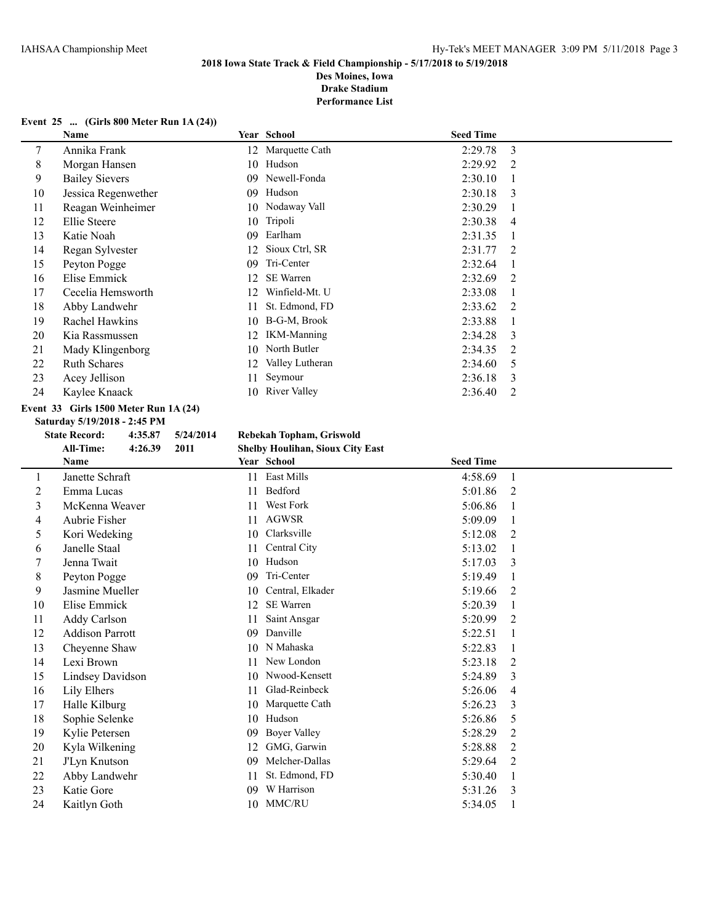**Des Moines, Iowa Drake Stadium**

**Performance List**

### **Event 25 ... (Girls 800 Meter Run 1A (24))**

|                       |      |                     | <b>Seed Time</b>                 |                |
|-----------------------|------|---------------------|----------------------------------|----------------|
| Annika Frank          |      |                     | 2:29.78                          | 3              |
| Morgan Hansen         | 10   | Hudson              | 2:29.92                          | $\mathfrak{D}$ |
| <b>Bailey Sievers</b> | 09   | Newell-Fonda        | 2:30.10                          |                |
| Jessica Regenwether   | 09   | Hudson              | 2:30.18                          | 3              |
| Reagan Weinheimer     | 10   | Nodaway Vall        | 2:30.29                          |                |
| Ellie Steere          | 10   | Tripoli             | 2:30.38                          | 4              |
| Katie Noah            | 09   | Earlham             | 2:31.35                          |                |
| Regan Sylvester       | 12   | Sioux Ctrl, SR      | 2:31.77                          | $\overline{2}$ |
| Peyton Pogge          | 09   | Tri-Center          | 2:32.64                          |                |
| Elise Emmick          | 12.  | <b>SE</b> Warren    | 2:32.69                          | 2              |
| Cecelia Hemsworth     | 12   | Winfield-Mt. U      | 2:33.08                          |                |
| Abby Landwehr         | 11   | St. Edmond, FD      | 2:33.62                          | 2              |
| Rachel Hawkins        | 10   | B-G-M, Brook        | 2:33.88                          |                |
| Kia Rassmussen        | 12.  | <b>IKM-Manning</b>  | 2:34.28                          | 3              |
| Mady Klingenborg      | 10   | North Butler        | 2:34.35                          | 2              |
| <b>Ruth Schares</b>   | 12   | Valley Lutheran     | 2:34.60                          | 5              |
| Acey Jellison         | 11   | Seymour             | 2:36.18                          | 3              |
| Kaylee Knaack         | 10   | <b>River Valley</b> | 2:36.40                          | 2              |
|                       | Name |                     | Year School<br>12 Marquette Cath |                |

# **Event 33 Girls 1500 Meter Run 1A (24)**

**Saturday 5/19/2018 - 2:45 PM**

# **State Record: 4:35.87 5/24/2014 Rebekah Topham, Griswold**

**All-Time: 4:26.39 2011 Shelby Houlihan, Sioux City East**

|         |                        | $_{\rm{50}}$           |                           |  |
|---------|------------------------|------------------------|---------------------------|--|
|         | Name                   | Year School            | <b>Seed Time</b>          |  |
| $\perp$ | Janette Schraft        | East Mills<br>11       | 4:58.69                   |  |
| 2       | Emma Lucas             | Bedford<br>11          | $\overline{2}$<br>5:01.86 |  |
| 3       | McKenna Weaver         | <b>West Fork</b><br>11 | 5:06.86                   |  |
| 4       | Aubrie Fisher          | <b>AGWSR</b><br>11     | 5:09.09                   |  |
| 5       | Kori Wedeking          | Clarksville<br>10      | 5:12.08<br>2              |  |
| 6       | Janelle Staal          | Central City<br>11     | 5:13.02<br>1              |  |
|         | Jenna Twait            | Hudson<br>10           | 3<br>5:17.03              |  |
| 8       | Peyton Pogge           | Tri-Center<br>09       | 5:19.49<br>1              |  |
| 9       | Jasmine Mueller        | Central, Elkader<br>10 | 5:19.66<br>2              |  |
| 10      | Elise Emmick           | SE Warren<br>12        | 5:20.39                   |  |
| 11      | <b>Addy Carlson</b>    | Saint Ansgar<br>11     | 5:20.99<br>2              |  |
| 12      | <b>Addison Parrott</b> | Danville<br>09         | 5:22.51                   |  |
| 13      | Cheyenne Shaw          | N Mahaska<br>10        | 5:22.83<br>1              |  |
| 14      | Lexi Brown             | New London<br>11       | 5:23.18<br>2              |  |
| 15      | Lindsey Davidson       | Nwood-Kensett<br>10    | 3<br>5:24.89              |  |
| 16      | Lily Elhers            | Glad-Reinbeck<br>11    | 5:26.06<br>4              |  |
| 17      | Halle Kilburg          | Marquette Cath<br>10   | 3<br>5:26.23              |  |
| 18      | Sophie Selenke         | Hudson<br>10           | 5:26.86<br>5              |  |
| 19      | Kylie Petersen         | Boyer Valley<br>09     | 2<br>5:28.29              |  |
| 20      | Kyla Wilkening         | GMG, Garwin<br>12      | 5:28.88<br>2              |  |
| 21      | J'Lyn Knutson          | Melcher-Dallas<br>09   | 2<br>5:29.64              |  |
| 22      | Abby Landwehr          | St. Edmond, FD<br>11   | 5:30.40<br>1              |  |
| 23      | Katie Gore             | W Harrison<br>09       | 3<br>5:31.26              |  |
| 24      | Kaitlyn Goth           | MMC/RU<br>10           | 5:34.05                   |  |
|         |                        |                        |                           |  |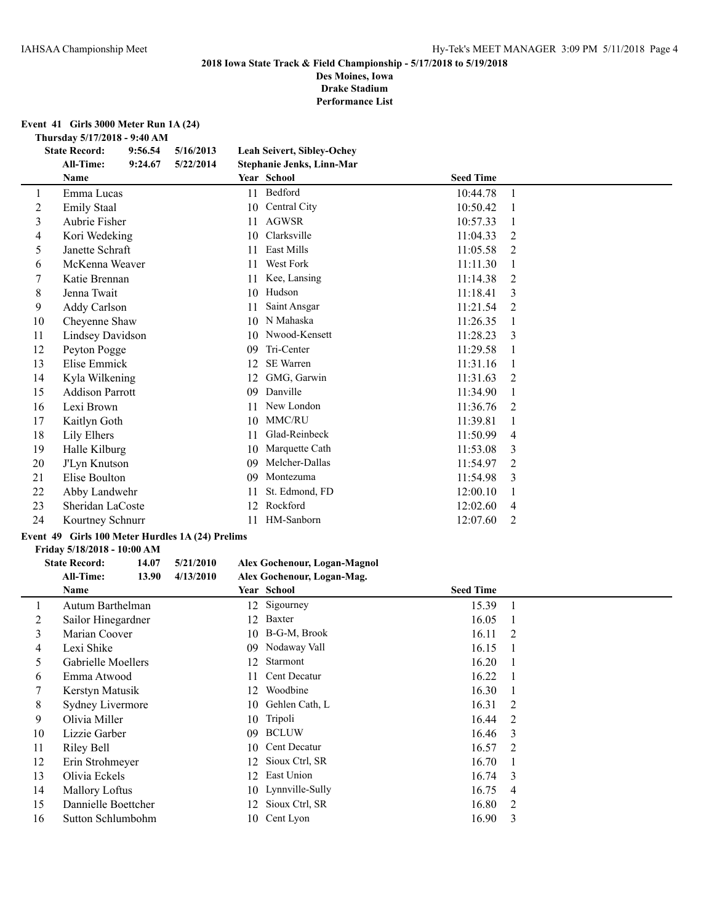**Des Moines, Iowa Drake Stadium**

**Performance List**

**Event 41 Girls 3000 Meter Run 1A (24)**

**Thursday 5/17/2018 - 9:40 AM**

|                | <b>State Record:</b>    | 9:56.54 | 5/16/2013 |    | <b>Leah Seivert, Sibley-Ochey</b> |                  |   |  |
|----------------|-------------------------|---------|-----------|----|-----------------------------------|------------------|---|--|
|                | <b>All-Time:</b>        | 9:24.67 | 5/22/2014 |    | Stephanie Jenks, Linn-Mar         |                  |   |  |
|                | Name                    |         |           |    | Year School                       | <b>Seed Time</b> |   |  |
| 1              | Emma Lucas              |         |           | 11 | Bedford                           | 10:44.78         |   |  |
| $\overline{c}$ | <b>Emily Staal</b>      |         |           | 10 | Central City                      | 10:50.42         |   |  |
| 3              | Aubrie Fisher           |         |           | 11 | <b>AGWSR</b>                      | 10:57.33         |   |  |
| 4              | Kori Wedeking           |         |           | 10 | Clarksville                       | 11:04.33         | 2 |  |
| 5              | Janette Schraft         |         |           | 11 | <b>East Mills</b>                 | 11:05.58         | 2 |  |
| 6              | McKenna Weaver          |         |           | 11 | West Fork                         | 11:11.30         |   |  |
| 7              | Katie Brennan           |         |           | 11 | Kee, Lansing                      | 11:14.38         | 2 |  |
| 8              | Jenna Twait             |         |           | 10 | Hudson                            | 11:18.41         | 3 |  |
| 9              | Addy Carlson            |         |           | 11 | Saint Ansgar                      | 11:21.54         | 2 |  |
| 10             | Cheyenne Shaw           |         |           | 10 | N Mahaska                         | 11:26.35         |   |  |
| 11             | <b>Lindsey Davidson</b> |         |           | 10 | Nwood-Kensett                     | 11:28.23         | 3 |  |
| 12             | Peyton Pogge            |         |           | 09 | Tri-Center                        | 11:29.58         |   |  |
| 13             | Elise Emmick            |         |           | 12 | <b>SE</b> Warren                  | 11:31.16         |   |  |
| 14             | Kyla Wilkening          |         |           | 12 | GMG, Garwin                       | 11:31.63         | 2 |  |
| 15             | <b>Addison Parrott</b>  |         |           | 09 | Danville                          | 11:34.90         |   |  |
| 16             | Lexi Brown              |         |           | 11 | New London                        | 11:36.76         | 2 |  |
| 17             | Kaitlyn Goth            |         |           | 10 | MMC/RU                            | 11:39.81         |   |  |
| 18             | Lily Elhers             |         |           | 11 | Glad-Reinbeck                     | 11:50.99         | 4 |  |
| 19             | Halle Kilburg           |         |           | 10 | Marquette Cath                    | 11:53.08         | 3 |  |
| 20             | J'Lyn Knutson           |         |           | 09 | Melcher-Dallas                    | 11:54.97         | 2 |  |
| 21             | Elise Boulton           |         |           | 09 | Montezuma                         | 11:54.98         | 3 |  |
| 22             | Abby Landwehr           |         |           | 11 | St. Edmond, FD                    | 12:00.10         |   |  |
| 23             | Sheridan LaCoste        |         |           | 12 | Rockford                          | 12:02.60         | 4 |  |
| 24             | Kourtney Schnurr        |         |           | 11 | HM-Sanborn                        | 12:07.60         | 2 |  |

## **Event 49 Girls 100 Meter Hurdles 1A (24) Prelims**

### **Friday 5/18/2018 - 10:00 AM**

# **State Record: 14.07 5/21/2010 Alex Gochenour, Logan-Magnol**

|    | <b>All-Time:</b><br>13.90 | 4/13/2010 | Alex Gochenour, Logan-Mag. |                  |                |
|----|---------------------------|-----------|----------------------------|------------------|----------------|
|    | Name                      |           | <b>Year School</b>         | <b>Seed Time</b> |                |
|    | Autum Barthelman          | 12        | Sigourney                  | 15.39            | $\overline{1}$ |
| 2  | Sailor Hinegardner        | 12        | Baxter                     | 16.05            |                |
| 3  | Marian Coover             | 10        | B-G-M, Brook               | 16.11            | 2              |
| 4  | Lexi Shike                | 09        | Nodaway Vall               | 16.15            |                |
| 5  | Gabrielle Moellers        | 12        | Starmont                   | 16.20            |                |
| 6  | Emma Atwood               |           | Cent Decatur               | 16.22            |                |
|    | Kerstyn Matusik           | 12        | Woodbine                   | 16.30            |                |
| 8  | Sydney Livermore          | 10        | Gehlen Cath, L             | 16.31            | -2             |
| 9  | Olivia Miller             | 10        | Tripoli                    | 16.44            | 2              |
| 10 | Lizzie Garber             | 09        | <b>BCLUW</b>               | 16.46            | $\mathcal{E}$  |
| 11 | Riley Bell                | 10-       | Cent Decatur               | 16.57            | $\overline{2}$ |
| 12 | Erin Strohmeyer           | 12        | Sioux Ctrl, SR             | 16.70            |                |
| 13 | Olivia Eckels             | 12        | East Union                 | 16.74            | $\mathcal{E}$  |
| 14 | <b>Mallory Loftus</b>     |           | 10 Lynnville-Sully         | 16.75            | 4              |
| 15 | Dannielle Boettcher       | 12        | Sioux Ctrl, SR             | 16.80            | $\overline{2}$ |
| 16 | Sutton Schlumbohm         |           | 10 Cent Lyon               | 16.90            | 3              |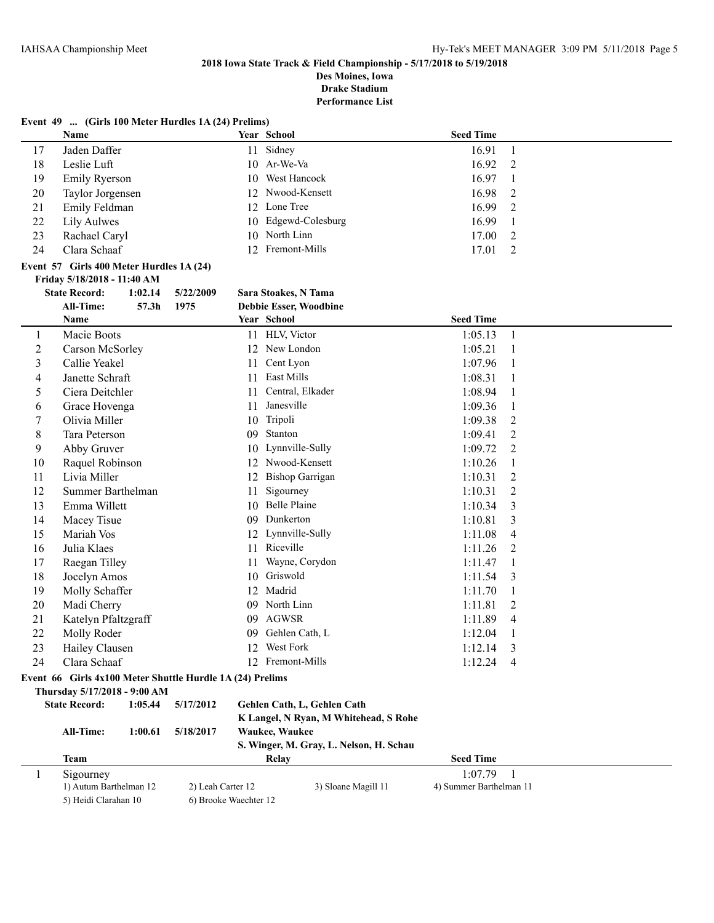**Des Moines, Iowa**

**Drake Stadium**

**Performance List**

|  | Event 49  (Girls 100 Meter Hurdles 1A (24) Prelims) |  |  |
|--|-----------------------------------------------------|--|--|
|--|-----------------------------------------------------|--|--|

|    | Name             |    | Year School         | <b>Seed Time</b> |     |
|----|------------------|----|---------------------|------------------|-----|
| 17 | Jaden Daffer     | 11 | Sidney              | 16.91            |     |
| 18 | Leslie Luft      |    | $10$ Ar-We-Va       | 16.92            | -2  |
| 19 | Emily Ryerson    |    | 10 West Hancock     | 16.97            |     |
| 20 | Taylor Jorgensen |    | 12 Nwood-Kensett    | 16.98            | - 2 |
| 21 | Emily Feldman    |    | 12 Lone Tree        | 16.99            | -2  |
| 22 | Lily Aulwes      |    | 10 Edgewd-Colesburg | 16.99            |     |
| 23 | Rachael Caryl    |    | 10 North Linn       | 17.00            | 2   |
| 24 | Clara Schaaf     |    | 12 Fremont-Mills    | 17.01            |     |

### **Event 57 Girls 400 Meter Hurdles 1A (24) Friday 5/18/2018 - 11:40 AM**

| <b>State Record:</b> | 1:02.14 | 5/22/2009 | Sara Stoakes, N Tama |
|----------------------|---------|-----------|----------------------|
| All-Time.            | 57 3h   | 1075      | Debbie Esser Woodbir |

|              | <b>All-Time:</b><br>57.3 <sub>h</sub>                     | 1975                  |    | <b>Debbie Esser, Woodbine</b>           |                         |                |
|--------------|-----------------------------------------------------------|-----------------------|----|-----------------------------------------|-------------------------|----------------|
|              | <b>Name</b>                                               |                       |    | Year School                             | <b>Seed Time</b>        |                |
| 1            | Macie Boots                                               |                       |    | 11 HLV, Victor                          | 1:05.13                 | $\mathbf{1}$   |
| 2            | Carson McSorley                                           |                       |    | 12 New London                           | 1:05.21                 | 1              |
| 3            | Callie Yeakel                                             |                       | 11 | Cent Lyon                               | 1:07.96                 | 1              |
| 4            | Janette Schraft                                           |                       | 11 | East Mills                              | 1:08.31                 | 1              |
| 5            | Ciera Deitchler                                           |                       | 11 | Central, Elkader                        | 1:08.94                 | 1              |
| 6            | Grace Hovenga                                             |                       | 11 | Janesville                              | 1:09.36                 | $\mathbf{1}$   |
| 7            | Olivia Miller                                             |                       |    | 10 Tripoli                              | 1:09.38                 | $\overline{2}$ |
| 8            | Tara Peterson                                             |                       |    | 09 Stanton                              | 1:09.41                 | $\overline{2}$ |
| 9            | Abby Gruver                                               |                       |    | 10 Lynnville-Sully                      | 1:09.72                 | $\overline{2}$ |
| 10           | Raquel Robinson                                           |                       |    | 12 Nwood-Kensett                        | 1:10.26                 | 1              |
| 11           | Livia Miller                                              |                       | 12 | <b>Bishop Garrigan</b>                  | 1:10.31                 | 2              |
| 12           | Summer Barthelman                                         |                       | 11 | Sigourney                               | 1:10.31                 | $\overline{2}$ |
| 13           | Emma Willett                                              |                       | 10 | <b>Belle Plaine</b>                     | 1:10.34                 | 3              |
| 14           | Macey Tisue                                               |                       |    | 09 Dunkerton                            | 1:10.81                 | 3              |
| 15           | Mariah Vos                                                |                       |    | 12 Lynnville-Sully                      | 1:11.08                 | 4              |
| 16           | Julia Klaes                                               |                       |    | 11 Riceville                            | 1:11.26                 | 2              |
| 17           | Raegan Tilley                                             |                       | 11 | Wayne, Corydon                          | 1:11.47                 | 1              |
| 18           | Jocelyn Amos                                              |                       | 10 | Griswold                                | 1:11.54                 | 3              |
| 19           | Molly Schaffer                                            |                       |    | 12 Madrid                               | 1:11.70                 | $\mathbf{1}$   |
| 20           | Madi Cherry                                               |                       |    | 09 North Linn                           | 1:11.81                 | 2              |
| 21           | Katelyn Pfaltzgraff                                       |                       |    | 09 AGWSR                                | 1:11.89                 | 4              |
| 22           | Molly Roder                                               |                       | 09 | Gehlen Cath, L                          | 1:12.04                 | 1              |
| 23           | Hailey Clausen                                            |                       | 12 | <b>West Fork</b>                        | 1:12.14                 | 3              |
| 24           | Clara Schaaf                                              |                       |    | 12 Fremont-Mills                        | 1:12.24                 | $\overline{4}$ |
|              | Event 66 Girls 4x100 Meter Shuttle Hurdle 1A (24) Prelims |                       |    |                                         |                         |                |
|              | Thursday 5/17/2018 - 9:00 AM                              |                       |    |                                         |                         |                |
|              | <b>State Record:</b><br>1:05.44                           | 5/17/2012             |    | Gehlen Cath, L, Gehlen Cath             |                         |                |
|              |                                                           |                       |    | K Langel, N Ryan, M Whitehead, S Rohe   |                         |                |
|              | All-Time:<br>1:00.61                                      | 5/18/2017             |    | Waukee, Waukee                          |                         |                |
|              |                                                           |                       |    | S. Winger, M. Gray, L. Nelson, H. Schau |                         |                |
|              | <b>Team</b>                                               |                       |    | Relay                                   | <b>Seed Time</b>        |                |
| $\mathbf{1}$ | Sigourney                                                 |                       |    |                                         | 1:07.79                 | $\mathbf{1}$   |
|              | 1) Autum Barthelman 12                                    | 2) Leah Carter 12     |    | 3) Sloane Magill 11                     | 4) Summer Barthelman 11 |                |
|              | 5) Heidi Clarahan 10                                      | 6) Brooke Waechter 12 |    |                                         |                         |                |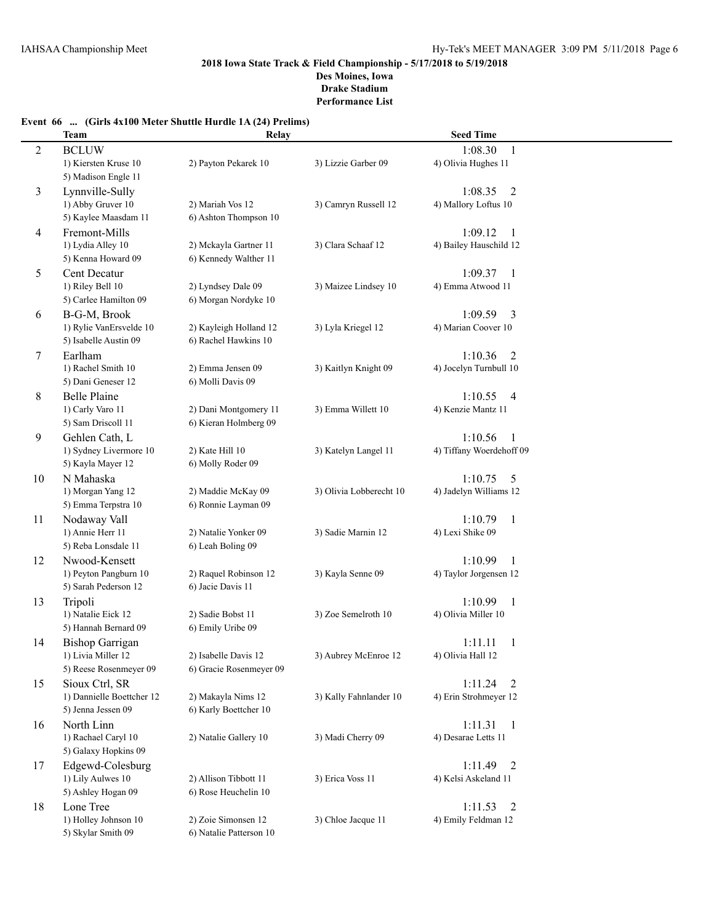# **Event 66 ... (Girls 4x100 Meter Shuttle Hurdle 1A (24) Prelims)**

|                | <b>Team</b>                          | Relay                   |                         | <b>Seed Time</b>          |  |
|----------------|--------------------------------------|-------------------------|-------------------------|---------------------------|--|
|                |                                      |                         |                         | 1:08.30                   |  |
| $\overline{c}$ | <b>BCLUW</b><br>1) Kiersten Kruse 10 | 2) Payton Pekarek 10    | 3) Lizzie Garber 09     | 1<br>4) Olivia Hughes 11  |  |
|                | 5) Madison Engle 11                  |                         |                         |                           |  |
|                |                                      |                         |                         |                           |  |
| 3              | Lynnville-Sully                      |                         |                         | $\overline{2}$<br>1:08.35 |  |
|                | 1) Abby Gruver 10                    | 2) Mariah Vos 12        | 3) Camryn Russell 12    | 4) Mallory Loftus 10      |  |
|                | 5) Kaylee Maasdam 11                 | 6) Ashton Thompson 10   |                         |                           |  |
| 4              | Fremont-Mills                        |                         |                         | 1:09.12<br>1              |  |
|                | 1) Lydia Alley 10                    | 2) Mckayla Gartner 11   | 3) Clara Schaaf 12      | 4) Bailey Hauschild 12    |  |
|                | 5) Kenna Howard 09                   | 6) Kennedy Walther 11   |                         |                           |  |
| 5              | Cent Decatur                         |                         |                         | 1:09.37<br>1              |  |
|                | 1) Riley Bell 10                     | 2) Lyndsey Dale 09      | 3) Maizee Lindsey 10    | 4) Emma Atwood 11         |  |
|                | 5) Carlee Hamilton 09                | 6) Morgan Nordyke 10    |                         |                           |  |
| 6              | B-G-M, Brook                         |                         |                         | 3<br>1:09.59              |  |
|                | 1) Rylie VanErsvelde 10              | 2) Kayleigh Holland 12  | 3) Lyla Kriegel 12      | 4) Marian Coover 10       |  |
|                | 5) Isabelle Austin 09                | 6) Rachel Hawkins 10    |                         |                           |  |
| 7              | Earlham                              |                         |                         | 1:10.36<br>$\overline{2}$ |  |
|                | 1) Rachel Smith 10                   | 2) Emma Jensen 09       | 3) Kaitlyn Knight 09    | 4) Jocelyn Turnbull 10    |  |
|                | 5) Dani Geneser 12                   | 6) Molli Davis 09       |                         |                           |  |
| 8              | <b>Belle Plaine</b>                  |                         |                         | 1:10.55<br>$\overline{4}$ |  |
|                | 1) Carly Varo 11                     | 2) Dani Montgomery 11   | 3) Emma Willett 10      | 4) Kenzie Mantz 11        |  |
|                | 5) Sam Driscoll 11                   | 6) Kieran Holmberg 09   |                         |                           |  |
| 9              | Gehlen Cath, L                       |                         |                         | 1:10.56<br>1              |  |
|                | 1) Sydney Livermore 10               | 2) Kate Hill 10         | 3) Katelyn Langel 11    | 4) Tiffany Woerdehoff 09  |  |
|                | 5) Kayla Mayer 12                    | 6) Molly Roder 09       |                         |                           |  |
| 10             | N Mahaska                            |                         |                         | 1:10.75<br>5              |  |
|                | 1) Morgan Yang 12                    | 2) Maddie McKay 09      | 3) Olivia Lobberecht 10 | 4) Jadelyn Williams 12    |  |
|                | 5) Emma Terpstra 10                  | 6) Ronnie Layman 09     |                         |                           |  |
| 11             | Nodaway Vall                         |                         |                         | 1:10.79<br>$\mathbf{1}$   |  |
|                | 1) Annie Herr 11                     | 2) Natalie Yonker 09    | 3) Sadie Marnin 12      | 4) Lexi Shike 09          |  |
|                | 5) Reba Lonsdale 11                  | 6) Leah Boling 09       |                         |                           |  |
| 12             | Nwood-Kensett                        |                         |                         | 1:10.99<br>1              |  |
|                | 1) Peyton Pangburn 10                | 2) Raquel Robinson 12   | 3) Kayla Senne 09       | 4) Taylor Jorgensen 12    |  |
|                | 5) Sarah Pederson 12                 | 6) Jacie Davis 11       |                         |                           |  |
| 13             | Tripoli                              |                         |                         | 1:10.99<br>$\mathbf{1}$   |  |
|                | 1) Natalie Eick 12                   | 2) Sadie Bobst 11       | 3) Zoe Semelroth 10     | 4) Olivia Miller 10       |  |
|                | 5) Hannah Bernard 09                 | 6) Emily Uribe 09       |                         |                           |  |
| 14             | <b>Bishop Garrigan</b>               |                         |                         | 1:11.11<br>1              |  |
|                | 1) Livia Miller 12                   | 2) Isabelle Davis 12    | 3) Aubrey McEnroe 12    | 4) Olivia Hall 12         |  |
|                | 5) Reese Rosenmeyer 09               | 6) Gracie Rosenmeyer 09 |                         |                           |  |
| 15             | Sioux Ctrl, SR                       |                         |                         | 1:11.24<br>2              |  |
|                | 1) Dannielle Boettcher 12            | 2) Makayla Nims 12      | 3) Kally Fahnlander 10  | 4) Erin Strohmeyer 12     |  |
|                | 5) Jenna Jessen 09                   | 6) Karly Boettcher 10   |                         |                           |  |
| 16             | North Linn                           |                         |                         | 1:11.31<br>1              |  |
|                | 1) Rachael Caryl 10                  | 2) Natalie Gallery 10   | 3) Madi Cherry 09       | 4) Desarae Letts 11       |  |
|                | 5) Galaxy Hopkins 09                 |                         |                         |                           |  |
| 17             | Edgewd-Colesburg                     |                         |                         | 1:11.49<br>2              |  |
|                | 1) Lily Aulwes 10                    | 2) Allison Tibbott 11   | 3) Erica Voss 11        | 4) Kelsi Askeland 11      |  |
|                | 5) Ashley Hogan 09                   | 6) Rose Heuchelin 10    |                         |                           |  |
| 18             | Lone Tree                            |                         |                         | 1:11.53<br>2              |  |
|                | 1) Holley Johnson 10                 | 2) Zoie Simonsen 12     | 3) Chloe Jacque 11      | 4) Emily Feldman 12       |  |
|                | 5) Skylar Smith 09                   | 6) Natalie Patterson 10 |                         |                           |  |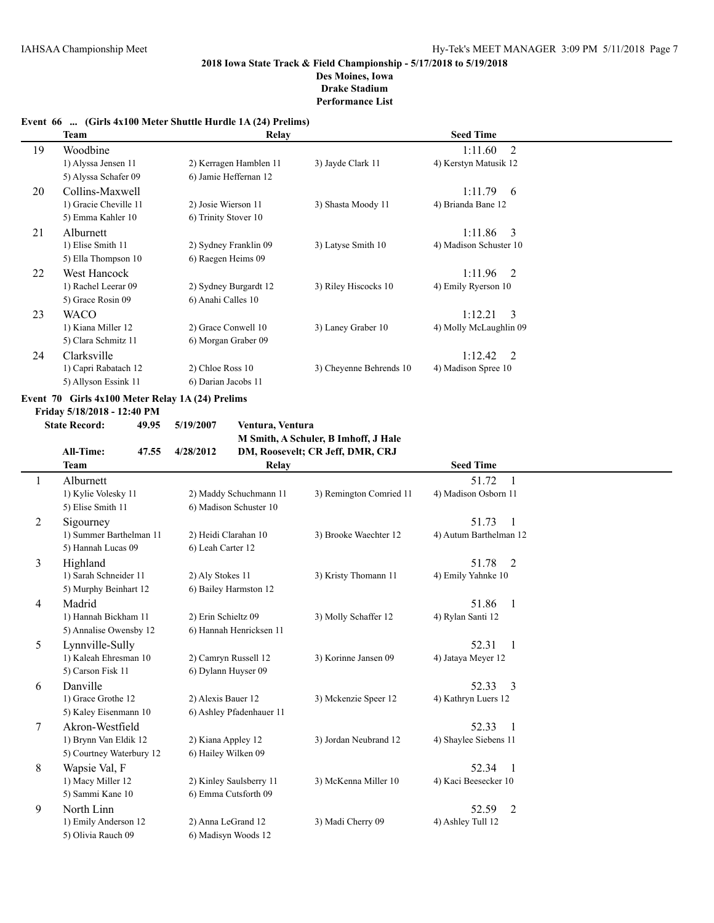## **Event 66 ... (Girls 4x100 Meter Shuttle Hurdle 1A (24) Prelims)**

|    | Team                  | Relay                  |                         | <b>Seed Time</b>          |  |
|----|-----------------------|------------------------|-------------------------|---------------------------|--|
| 19 | Woodbine              |                        |                         | $1:11.60$ 2               |  |
|    | 1) Alyssa Jensen 11   | 2) Kerragen Hamblen 11 | 3) Jayde Clark 11       | 4) Kerstyn Matusik 12     |  |
|    | 5) Alyssa Schafer 09  | 6) Jamie Heffernan 12  |                         |                           |  |
| 20 | Collins-Maxwell       |                        |                         | $1:11.79$ 6               |  |
|    | 1) Gracie Cheville 11 | 2) Josie Wierson 11    | 3) Shasta Moody 11      | 4) Brianda Bane 12        |  |
|    | 5) Emma Kahler 10     | 6) Trinity Stover 10   |                         |                           |  |
| 21 | <b>Alburnett</b>      |                        |                         | $1:11.86$ 3               |  |
|    | 1) Elise Smith 11     | 2) Sydney Franklin 09  | 3) Latyse Smith 10      | 4) Madison Schuster 10    |  |
|    | 5) Ella Thompson 10   | 6) Raegen Heims 09     |                         |                           |  |
| 22 | West Hancock          |                        |                         | $1:11.96$ 2               |  |
|    | 1) Rachel Leerar 09   | 2) Sydney Burgardt 12  | 3) Riley Hiscocks 10    | 4) Emily Ryerson 10       |  |
|    | 5) Grace Rosin 09     | 6) Anahi Calles 10     |                         |                           |  |
| 23 | <b>WACO</b>           |                        |                         | 1:12.21<br>$\overline{3}$ |  |
|    | 1) Kiana Miller 12    | 2) Grace Conwell 10    | 3) Laney Graber 10      | 4) Molly McLaughlin 09    |  |
|    | 5) Clara Schmitz 11   | 6) Morgan Graber 09    |                         |                           |  |
| 24 | Clarksville           |                        |                         | $1:12.42 \quad 2$         |  |
|    | 1) Capri Rabatach 12  | 2) Chloe Ross 10       | 3) Cheyenne Behrends 10 | 4) Madison Spree 10       |  |
|    | 5) Allyson Essink 11  | 6) Darian Jacobs 11    |                         |                           |  |

### **Event 70 Girls 4x100 Meter Relay 1A (24) Prelims**

**Friday 5/18/2018 - 12:40 PM**

 $\overline{\phantom{0}}$ 

**State Record: 49.95 5/19/2007 Ventura, Ventura M Smith, A Schuler, B Imhoff, J Hale All-Time: 47.55 4/28/2012 DM, Roosevelt; CR Jeff, DMR, CRJ**

|   | Ан-типс.<br>47.JJ        | 4/40/4014                | DIM, ROOSEVER, CR JEH, DIVIR, CRJ |                                   |  |
|---|--------------------------|--------------------------|-----------------------------------|-----------------------------------|--|
|   | <b>Team</b>              | Relay                    |                                   | <b>Seed Time</b>                  |  |
|   | Alburnett                |                          |                                   | 51.72<br>$\mathbf{1}$             |  |
|   | 1) Kylie Volesky 11      | 2) Maddy Schuchmann 11   | 3) Remington Comried 11           | 4) Madison Osborn 11              |  |
|   | 5) Elise Smith 11        | 6) Madison Schuster 10   |                                   |                                   |  |
| 2 | Sigourney                |                          |                                   | 51.73<br>$\blacksquare$           |  |
|   | 1) Summer Barthelman 11  | 2) Heidi Clarahan 10     | 3) Brooke Waechter 12             | 4) Autum Barthelman 12            |  |
|   | 5) Hannah Lucas 09       | 6) Leah Carter 12        |                                   |                                   |  |
| 3 | Highland                 |                          |                                   | 51.78<br>2                        |  |
|   | 1) Sarah Schneider 11    | 2) Aly Stokes 11         | 3) Kristy Thomann 11              | 4) Emily Yahnke 10                |  |
|   | 5) Murphy Beinhart 12    | 6) Bailey Harmston 12    |                                   |                                   |  |
| 4 | Madrid                   |                          |                                   | 51.86<br>$\overline{1}$           |  |
|   | 1) Hannah Bickham 11     | 2) Erin Schieltz 09      | 3) Molly Schaffer 12              | 4) Rylan Santi 12                 |  |
|   | 5) Annalise Owensby 12   | 6) Hannah Henricksen 11  |                                   |                                   |  |
| 5 | Lynnville-Sully          |                          |                                   | 52.31<br>$\overline{1}$           |  |
|   | 1) Kaleah Ehresman 10    | 2) Camryn Russell 12     | 3) Korinne Jansen 09              | 4) Jatava Meyer 12                |  |
|   | 5) Carson Fisk 11        | 6) Dylann Huyser 09      |                                   |                                   |  |
| 6 | Danville                 |                          |                                   | 52.33<br>3                        |  |
|   | 1) Grace Grothe 12       | 2) Alexis Bauer 12       | 3) Mckenzie Speer 12              | 4) Kathryn Luers 12               |  |
|   | 5) Kaley Eisenmann 10    | 6) Ashley Pfadenhauer 11 |                                   |                                   |  |
| 7 | Akron-Westfield          |                          |                                   | 52.33<br>$\overline{\phantom{0}}$ |  |
|   | 1) Brynn Van Eldik 12    | 2) Kiana Appley 12       | 3) Jordan Neubrand 12             | 4) Shaylee Siebens 11             |  |
|   | 5) Courtney Waterbury 12 | 6) Hailey Wilken 09      |                                   |                                   |  |
| 8 | Wapsie Val, F            |                          |                                   | 52.34<br>$\overline{\phantom{0}}$ |  |
|   | 1) Macy Miller 12        | 2) Kinley Saulsberry 11  | 3) McKenna Miller 10              | 4) Kaci Beesecker 10              |  |
|   | 5) Sammi Kane 10         | 6) Emma Cutsforth 09     |                                   |                                   |  |
| 9 | North Linn               |                          |                                   | 52.59<br>2                        |  |
|   | 1) Emily Anderson 12     | 2) Anna LeGrand 12       | 3) Madi Cherry 09                 | 4) Ashley Tull 12                 |  |
|   | 5) Olivia Rauch 09       | 6) Madisyn Woods 12      |                                   |                                   |  |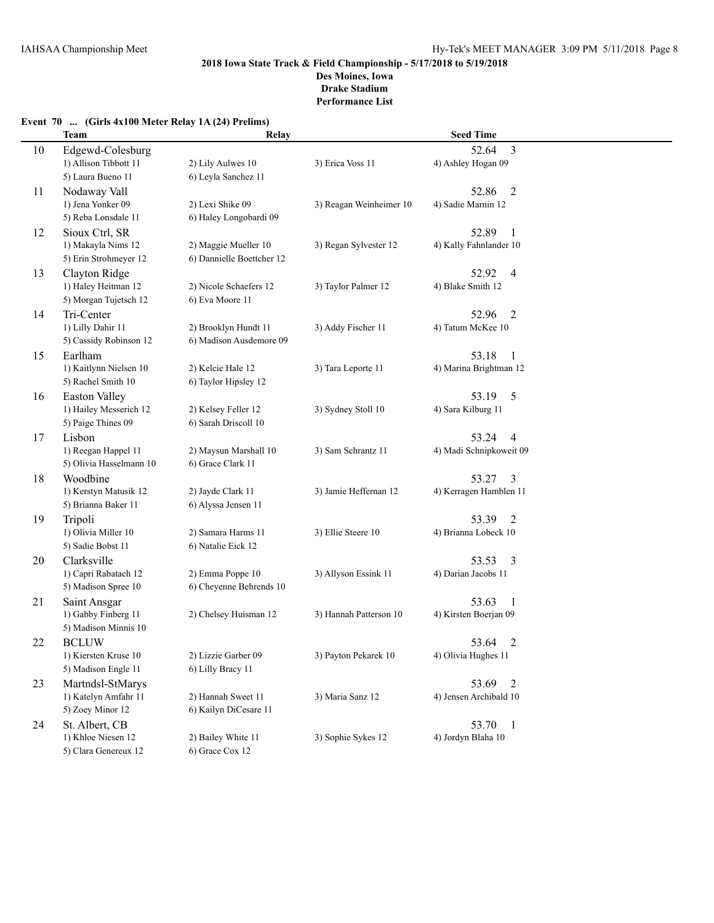### **Event 70 ... (Girls 4x100 Meter Relay 1A (24) Prelims)**

|    | <b>Team</b>             | Relay                     |                         | <b>Seed Time</b>        |  |
|----|-------------------------|---------------------------|-------------------------|-------------------------|--|
| 10 | Edgewd-Colesburg        |                           |                         | $\overline{3}$<br>52.64 |  |
|    | 1) Allison Tibbott 11   | 2) Lily Aulwes 10         | 3) Erica Voss 11        | 4) Ashley Hogan 09      |  |
|    | 5) Laura Bueno 11       | 6) Leyla Sanchez 11       |                         |                         |  |
| 11 | Nodaway Vall            |                           |                         | 52.86<br>$\overline{2}$ |  |
|    | 1) Jena Yonker 09       | 2) Lexi Shike 09          | 3) Reagan Weinheimer 10 | 4) Sadie Marnin 12      |  |
|    | 5) Reba Lonsdale 11     | 6) Haley Longobardi 09    |                         |                         |  |
| 12 | Sioux Ctrl, SR          |                           |                         | 52.89<br>-1             |  |
|    | 1) Makayla Nims 12      | 2) Maggie Mueller 10      | 3) Regan Sylvester 12   | 4) Kally Fahnlander 10  |  |
|    | 5) Erin Strohmeyer 12   | 6) Dannielle Boettcher 12 |                         |                         |  |
| 13 | Clayton Ridge           |                           |                         | 52.92<br>$\overline{4}$ |  |
|    | 1) Haley Heitman 12     | 2) Nicole Schaefers 12    | 3) Taylor Palmer 12     | 4) Blake Smith 12       |  |
|    | 5) Morgan Tujetsch 12   | 6) Eva Moore 11           |                         |                         |  |
| 14 | Tri-Center              |                           |                         | 52.96<br>2              |  |
|    | 1) Lilly Dahir 11       | 2) Brooklyn Hundt 11      | 3) Addy Fischer 11      | 4) Tatum McKee 10       |  |
|    | 5) Cassidy Robinson 12  | 6) Madison Ausdemore 09   |                         |                         |  |
| 15 | Earlham                 |                           |                         | 53.18<br>-1             |  |
|    | 1) Kaitlynn Nielsen 10  | 2) Kelcie Hale 12         | 3) Tara Leporte 11      | 4) Marina Brightman 12  |  |
|    | 5) Rachel Smith 10      | 6) Taylor Hipsley 12      |                         |                         |  |
| 16 | <b>Easton Valley</b>    |                           |                         | 53.19<br>5              |  |
|    | 1) Hailey Messerich 12  | 2) Kelsey Feller 12       | 3) Sydney Stoll 10      | 4) Sara Kilburg 11      |  |
|    | 5) Paige Thines 09      | 6) Sarah Driscoll 10      |                         |                         |  |
| 17 | Lisbon                  |                           |                         | 53.24<br>4              |  |
|    | 1) Reegan Happel 11     | 2) Maysun Marshall 10     | 3) Sam Schrantz 11      | 4) Madi Schnipkoweit 09 |  |
|    | 5) Olivia Hasselmann 10 | 6) Grace Clark 11         |                         |                         |  |
| 18 | Woodbine                |                           |                         | 53.27<br>3              |  |
|    | 1) Kerstyn Matusik 12   | 2) Jayde Clark 11         | 3) Jamie Heffernan 12   | 4) Kerragen Hamblen 11  |  |
|    | 5) Brianna Baker 11     | 6) Alyssa Jensen 11       |                         |                         |  |
| 19 | Tripoli                 |                           |                         | 53.39<br>2              |  |
|    | 1) Olivia Miller 10     | 2) Samara Harms 11        | 3) Ellie Steere 10      | 4) Brianna Lobeck 10    |  |
|    | 5) Sadie Bobst 11       | 6) Natalie Eick 12        |                         |                         |  |
| 20 | Clarksville             |                           |                         | 53.53<br>3              |  |
|    | 1) Capri Rabatach 12    | 2) Emma Poppe 10          | 3) Allyson Essink 11    | 4) Darian Jacobs 11     |  |
|    | 5) Madison Spree 10     | 6) Cheyenne Behrends 10   |                         |                         |  |
| 21 | Saint Ansgar            |                           |                         | 53.63<br>-1             |  |
|    | 1) Gabby Finberg 11     | 2) Chelsey Huisman 12     | 3) Hannah Patterson 10  | 4) Kirsten Boerjan 09   |  |
|    | 5) Madison Minnis 10    |                           |                         |                         |  |
| 22 | <b>BCLUW</b>            |                           |                         | 53.64<br>2              |  |
|    | 1) Kiersten Kruse 10    | 2) Lizzie Garber 09       | 3) Payton Pekarek 10    | 4) Olivia Hughes 11     |  |
|    | 5) Madison Engle 11     | 6) Lilly Bracy 11         |                         |                         |  |
| 23 | Martndsl-StMarys        |                           |                         | 53.69<br>$\overline{2}$ |  |
|    | 1) Katelyn Amfahr 11    | 2) Hannah Sweet 11        | 3) Maria Sanz 12        | 4) Jensen Archibald 10  |  |
|    | 5) Zoey Minor 12        | 6) Kailyn DiCesare 11     |                         |                         |  |
| 24 | St. Albert, CB          |                           |                         | 53.70<br>$\overline{1}$ |  |
|    | 1) Khloe Niesen 12      | 2) Bailey White 11        | 3) Sophie Sykes 12      | 4) Jordyn Blaha 10      |  |
|    | 5) Clara Genereux 12    | 6) Grace Cox 12           |                         |                         |  |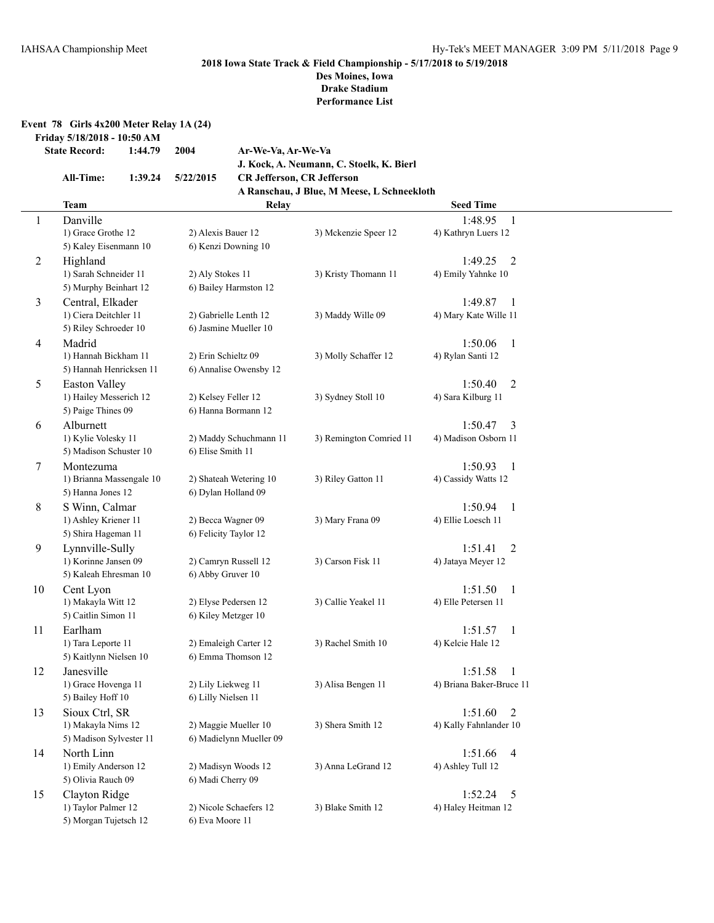### **Event 78 Girls 4x200 Meter Relay 1A (24)**

**Friday 5/18/2018 - 10:50 AM**

```
State Record: 1:44.79 2004 Ar-We-Va, Ar-We-Va
```

| All-Time: | 1:39.24 | 5/22/2015 |
|-----------|---------|-----------|

**J. Kock, A. Neumann, C. Stoelk, K. Bierl All-Time: 1:39.24 5/22/2015 CR Jefferson, CR Jefferson A Ranschau, J Blue, M Meese, L Schneekloth**

|                | <b>Team</b>                                  | Relay                                       |                         | <b>Seed Time</b>                          |  |
|----------------|----------------------------------------------|---------------------------------------------|-------------------------|-------------------------------------------|--|
| $\mathbf{1}$   | Danville                                     |                                             |                         | 1:48.95<br>$\overline{1}$                 |  |
|                | 1) Grace Grothe 12                           | 2) Alexis Bauer 12                          | 3) Mckenzie Speer 12    | 4) Kathryn Luers 12                       |  |
|                | 5) Kaley Eisenmann 10                        | 6) Kenzi Downing 10                         |                         |                                           |  |
| 2              | Highland                                     |                                             |                         | 1:49.25<br>$\overline{2}$                 |  |
|                | 1) Sarah Schneider 11                        | 2) Aly Stokes 11                            | 3) Kristy Thomann 11    | 4) Emily Yahnke 10                        |  |
|                | 5) Murphy Beinhart 12                        | 6) Bailey Harmston 12                       |                         |                                           |  |
| 3              | Central, Elkader                             |                                             |                         | 1:49.87<br>-1                             |  |
|                | 1) Ciera Deitchler 11                        | 2) Gabrielle Lenth 12                       | 3) Maddy Wille 09       | 4) Mary Kate Wille 11                     |  |
|                | 5) Riley Schroeder 10                        | 6) Jasmine Mueller 10                       |                         |                                           |  |
| $\overline{4}$ | Madrid                                       |                                             |                         | 1:50.06<br>1                              |  |
|                | 1) Hannah Bickham 11                         | 2) Erin Schieltz 09                         | 3) Molly Schaffer 12    | 4) Rylan Santi 12                         |  |
|                | 5) Hannah Henricksen 11                      | 6) Annalise Owensby 12                      |                         |                                           |  |
| 5              | <b>Easton Valley</b>                         |                                             |                         | 1:50.40<br>2                              |  |
|                | 1) Hailey Messerich 12                       | 2) Kelsey Feller 12                         | 3) Sydney Stoll 10      | 4) Sara Kilburg 11                        |  |
|                | 5) Paige Thines 09                           | 6) Hanna Bormann 12                         |                         |                                           |  |
| 6              | Alburnett                                    |                                             |                         | 1:50.47<br>3                              |  |
|                | 1) Kylie Volesky 11                          | 2) Maddy Schuchmann 11                      | 3) Remington Comried 11 | 4) Madison Osborn 11                      |  |
|                | 5) Madison Schuster 10                       | 6) Elise Smith 11                           |                         |                                           |  |
| $\tau$         | Montezuma                                    |                                             |                         | 1:50.93<br>$\overline{1}$                 |  |
|                | 1) Brianna Massengale 10                     | 2) Shateah Wetering 10                      | 3) Riley Gatton 11      | 4) Cassidy Watts 12                       |  |
|                | 5) Hanna Jones 12                            | 6) Dylan Holland 09                         |                         |                                           |  |
| 8              | S Winn, Calmar                               |                                             |                         | 1:50.94<br>-1                             |  |
|                | 1) Ashley Kriener 11                         | 2) Becca Wagner 09                          | 3) Mary Frana 09        | 4) Ellie Loesch 11                        |  |
|                | 5) Shira Hageman 11                          | 6) Felicity Taylor 12                       |                         |                                           |  |
| 9              | Lynnville-Sully                              |                                             |                         | $\overline{2}$<br>1:51.41                 |  |
|                | 1) Korinne Jansen 09                         | 2) Camryn Russell 12                        | 3) Carson Fisk 11       | 4) Jataya Meyer 12                        |  |
|                | 5) Kaleah Ehresman 10                        | 6) Abby Gruver 10                           |                         |                                           |  |
| 10             | Cent Lyon                                    |                                             |                         | 1:51.50<br>-1                             |  |
|                | 1) Makayla Witt 12                           | 2) Elyse Pedersen 12                        | 3) Callie Yeakel 11     | 4) Elle Petersen 11                       |  |
|                | 5) Caitlin Simon 11                          | 6) Kiley Metzger 10                         |                         |                                           |  |
| 11             | Earlham                                      |                                             |                         | 1:51.57<br>- 1                            |  |
|                | 1) Tara Leporte 11<br>5) Kaitlynn Nielsen 10 | 2) Emaleigh Carter 12<br>6) Emma Thomson 12 | 3) Rachel Smith 10      | 4) Kelcie Hale 12                         |  |
|                | Janesville                                   |                                             |                         |                                           |  |
| 12             | 1) Grace Hovenga 11                          | 2) Lily Liekweg 11                          | 3) Alisa Bengen 11      | 1:51.58<br>-1<br>4) Briana Baker-Bruce 11 |  |
|                | 5) Bailey Hoff 10                            | 6) Lilly Nielsen 11                         |                         |                                           |  |
|                | Sioux Ctrl, SR                               |                                             |                         | 1:51.60                                   |  |
| 13             | 1) Makayla Nims 12                           | 2) Maggie Mueller 10                        | 3) Shera Smith 12       | 2<br>4) Kally Fahnlander 10               |  |
|                | 5) Madison Sylvester 11                      | 6) Madielynn Mueller 09                     |                         |                                           |  |
| 14             | North Linn                                   |                                             |                         | 1:51.66<br>$\overline{4}$                 |  |
|                | 1) Emily Anderson 12                         | 2) Madisyn Woods 12                         | 3) Anna LeGrand 12      | 4) Ashley Tull 12                         |  |
|                | 5) Olivia Rauch 09                           | 6) Madi Cherry 09                           |                         |                                           |  |
| 15             | Clayton Ridge                                |                                             |                         | 1:52.24<br>- 5                            |  |
|                | 1) Taylor Palmer 12                          | 2) Nicole Schaefers 12                      | 3) Blake Smith 12       | 4) Haley Heitman 12                       |  |
|                | 5) Morgan Tujetsch 12                        | 6) Eva Moore 11                             |                         |                                           |  |
|                |                                              |                                             |                         |                                           |  |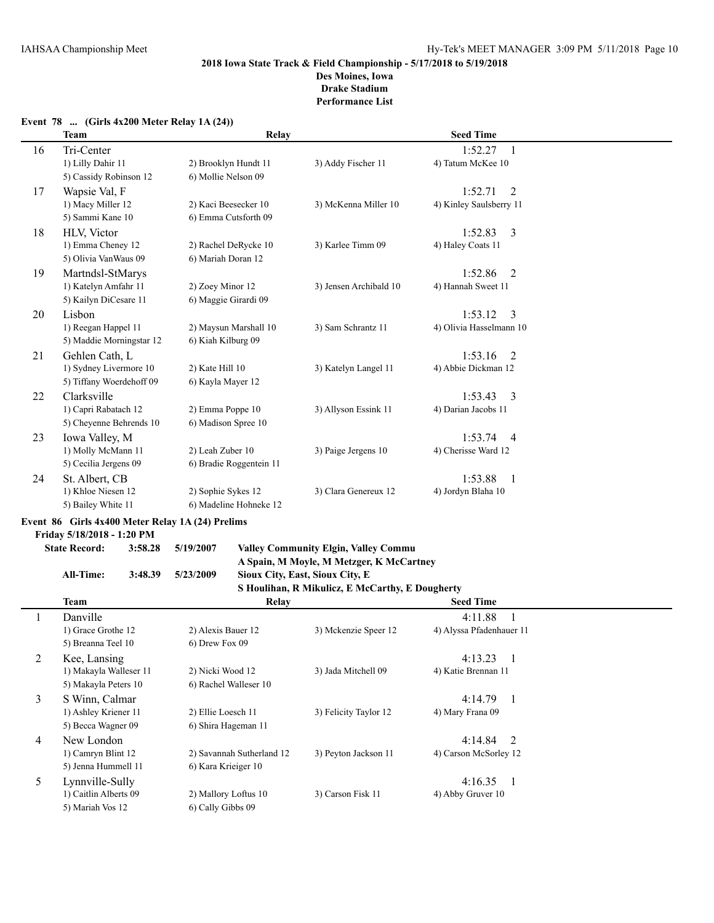# **2018 Iowa State Track & Field Championship - 5/17/2018 to 5/19/2018 Des Moines, Iowa**

**Drake Stadium**

**Performance List**

|    | <b>Team</b>              | Relay                   |                        | <b>Seed Time</b>          |  |
|----|--------------------------|-------------------------|------------------------|---------------------------|--|
| 16 | Tri-Center               |                         |                        | 1:52.27<br>$\overline{1}$ |  |
|    | 1) Lilly Dahir 11        | 2) Brooklyn Hundt 11    | 3) Addy Fischer 11     | 4) Tatum McKee 10         |  |
|    | 5) Cassidy Robinson 12   | 6) Mollie Nelson 09     |                        |                           |  |
| 17 | Wapsie Val, F            |                         |                        | 1:52.71<br>2              |  |
|    | 1) Macy Miller 12        | 2) Kaci Beesecker 10    | 3) McKenna Miller 10   | 4) Kinley Saulsberry 11   |  |
|    | 5) Sammi Kane 10         | 6) Emma Cutsforth 09    |                        |                           |  |
| 18 | <b>HLV.</b> Victor       |                         |                        | 1:52.83<br>$\overline{3}$ |  |
|    | 1) Emma Cheney 12        | 2) Rachel DeRycke 10    | 3) Karlee Timm 09      | 4) Haley Coats 11         |  |
|    | 5) Olivia VanWaus 09     | 6) Mariah Doran 12      |                        |                           |  |
| 19 | Martndsl-StMarys         |                         |                        | 1:52.86<br>2              |  |
|    | 1) Katelyn Amfahr 11     | 2) Zoey Minor 12        | 3) Jensen Archibald 10 | 4) Hannah Sweet 11        |  |
|    | 5) Kailyn DiCesare 11    | 6) Maggie Girardi 09    |                        |                           |  |
| 20 | Lisbon                   |                         |                        | 1:53.12<br>$\overline{3}$ |  |
|    | 1) Reegan Happel 11      | 2) Maysun Marshall 10   | 3) Sam Schrantz 11     | 4) Olivia Hasselmann 10   |  |
|    | 5) Maddie Morningstar 12 | 6) Kiah Kilburg 09      |                        |                           |  |
| 21 | Gehlen Cath, L           |                         |                        | 1:53.16<br>2              |  |
|    | 1) Sydney Livermore 10   | 2) Kate Hill 10         | 3) Katelyn Langel 11   | 4) Abbie Dickman 12       |  |
|    | 5) Tiffany Woerdehoff 09 | 6) Kayla Mayer 12       |                        |                           |  |
| 22 | Clarksville              |                         |                        | 1:53.43<br>$\overline{3}$ |  |
|    | 1) Capri Rabatach 12     | 2) Emma Poppe 10        | 3) Allyson Essink 11   | 4) Darian Jacobs 11       |  |
|    | 5) Cheyenne Behrends 10  | 6) Madison Spree 10     |                        |                           |  |
| 23 | Iowa Valley, M           |                         |                        | 1:53.74<br>$\overline{4}$ |  |
|    | 1) Molly McMann 11       | 2) Leah Zuber 10        | 3) Paige Jergens 10    | 4) Cherisse Ward 12       |  |
|    | 5) Cecilia Jergens 09    | 6) Bradie Roggentein 11 |                        |                           |  |
| 24 | St. Albert, CB           |                         |                        | 1:53.88<br>- 1            |  |
|    | 1) Khloe Niesen 12       | 2) Sophie Sykes 12      | 3) Clara Genereux 12   | 4) Jordyn Blaha 10        |  |
|    | 5) Bailey White 11       | 6) Madeline Hohneke 12  |                        |                           |  |

### **Event 78 ... (Girls 4x200 Meter Relay 1A (24))**

# **Event 86 Girls 4x400 Meter Relay 1A (24) Prelims**

**Friday 5/18/2018 - 1:20 PM**

# **State Record: 3:58.28 5/19/2007 Valley Community Elgin, Valley Commu A Spain, M Moyle, M Metzger, K McCartney**

**All-Time: 3:48.39 5/23/2009 Sioux City, East, Sioux City, E S Houlihan, R Mikulicz, E McCarthy, E Dougherty**

|   |                        |                           | $\sim$ Howman, it minumes, $\sim$ meeting, $\sim$ bougherty |                                     |
|---|------------------------|---------------------------|-------------------------------------------------------------|-------------------------------------|
|   | <b>Team</b>            | Relay                     |                                                             | <b>Seed Time</b>                    |
|   | Danville               |                           |                                                             | 4:11.88                             |
|   | 1) Grace Grothe 12     | 2) Alexis Bauer 12        | 3) Mckenzie Speer 12                                        | 4) Alyssa Pfadenhauer 11            |
|   | 5) Breanna Teel 10     | 6) Drew Fox 09            |                                                             |                                     |
| 2 | Kee, Lansing           |                           |                                                             | 4:13.23<br>$\blacksquare$           |
|   | 1) Makayla Walleser 11 | 2) Nicki Wood 12          | 3) Jada Mitchell 09                                         | 4) Katie Brennan 11                 |
|   | 5) Makayla Peters 10   | 6) Rachel Walleser 10     |                                                             |                                     |
| 3 | S Winn, Calmar         |                           |                                                             | 4:14.79<br>$\overline{\phantom{a}}$ |
|   | 1) Ashley Kriener 11   | 2) Ellie Loesch 11        | 3) Felicity Taylor 12                                       | 4) Mary Frana 09                    |
|   | 5) Becca Wagner 09     | 6) Shira Hageman 11       |                                                             |                                     |
| 4 | New London             |                           |                                                             | $4:14.84$ 2                         |
|   | 1) Camryn Blint 12     | 2) Savannah Sutherland 12 | 3) Peyton Jackson 11                                        | 4) Carson McSorley 12               |
|   | 5) Jenna Hummell 11    | 6) Kara Krieiger 10       |                                                             |                                     |
| 5 | Lynnville-Sully        |                           |                                                             | 4:16.35                             |
|   | 1) Caitlin Alberts 09  | 2) Mallory Loftus 10      | 3) Carson Fisk 11                                           | 4) Abby Gruver 10                   |
|   | 5) Mariah Vos 12       | 6) Cally Gibbs 09         |                                                             |                                     |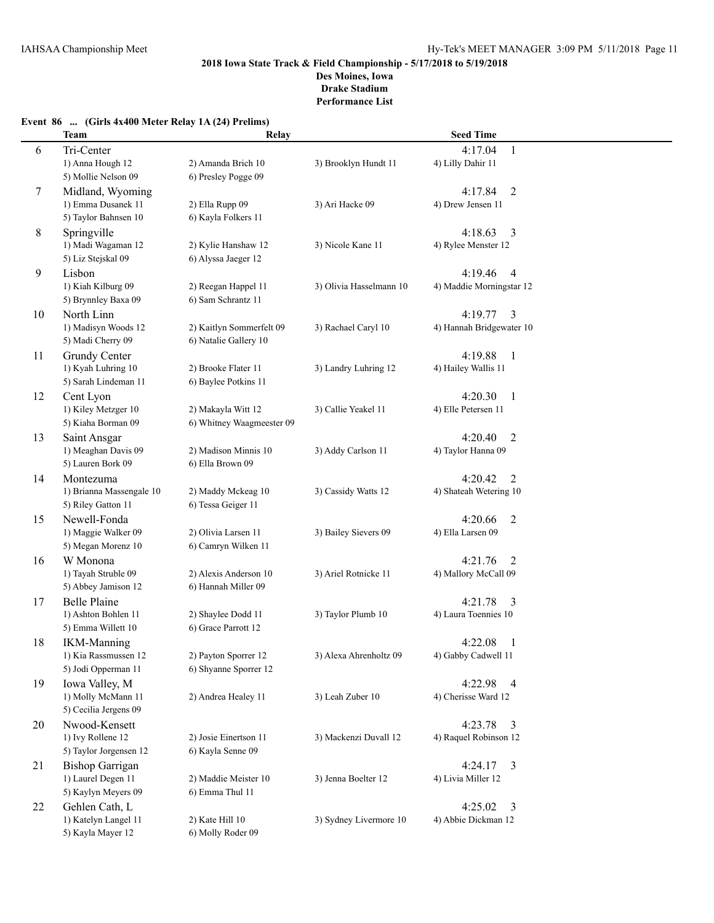**Performance List**

|  |  |  | Event 86  (Girls 4x400 Meter Relay 1A (24) Prelims) |  |  |  |  |  |
|--|--|--|-----------------------------------------------------|--|--|--|--|--|
|--|--|--|-----------------------------------------------------|--|--|--|--|--|

|    | <b>Team</b>              | Relay                     |                         | <b>Seed Time</b>          |  |
|----|--------------------------|---------------------------|-------------------------|---------------------------|--|
| 6  | Tri-Center               |                           |                         | $\mathbf{1}$<br>4:17.04   |  |
|    | 1) Anna Hough 12         | 2) Amanda Brich 10        | 3) Brooklyn Hundt 11    | 4) Lilly Dahir 11         |  |
|    | 5) Mollie Nelson 09      | 6) Presley Pogge 09       |                         |                           |  |
| 7  | Midland, Wyoming         |                           |                         | 4:17.84<br>$\overline{2}$ |  |
|    | 1) Emma Dusanek 11       | 2) Ella Rupp 09           | 3) Ari Hacke 09         | 4) Drew Jensen 11         |  |
|    | 5) Taylor Bahnsen 10     | 6) Kayla Folkers 11       |                         |                           |  |
| 8  | Springville              |                           |                         | 4:18.63<br>3              |  |
|    | 1) Madi Wagaman 12       | 2) Kylie Hanshaw 12       | 3) Nicole Kane 11       | 4) Rylee Menster 12       |  |
|    | 5) Liz Stejskal 09       | 6) Alyssa Jaeger 12       |                         |                           |  |
| 9  | Lisbon                   |                           |                         | 4:19.46<br>$\overline{4}$ |  |
|    | 1) Kiah Kilburg 09       | 2) Reegan Happel 11       | 3) Olivia Hasselmann 10 | 4) Maddie Morningstar 12  |  |
|    | 5) Brynnley Baxa 09      | 6) Sam Schrantz 11        |                         |                           |  |
| 10 | North Linn               |                           |                         | 4:19.77<br>3              |  |
|    | 1) Madisyn Woods 12      | 2) Kaitlyn Sommerfelt 09  | 3) Rachael Caryl 10     | 4) Hannah Bridgewater 10  |  |
|    | 5) Madi Cherry 09        | 6) Natalie Gallery 10     |                         |                           |  |
| 11 | Grundy Center            |                           |                         | 4:19.88<br>-1             |  |
|    | 1) Kyah Luhring 10       | 2) Brooke Flater 11       | 3) Landry Luhring 12    | 4) Hailey Wallis 11       |  |
|    | 5) Sarah Lindeman 11     | 6) Baylee Potkins 11      |                         |                           |  |
| 12 | Cent Lyon                |                           |                         | 4:20.30<br>$\overline{1}$ |  |
|    | 1) Kiley Metzger 10      | 2) Makayla Witt 12        | 3) Callie Yeakel 11     | 4) Elle Petersen 11       |  |
|    | 5) Kiaha Borman 09       | 6) Whitney Waagmeester 09 |                         |                           |  |
| 13 | Saint Ansgar             |                           |                         | 4:20.40<br>2              |  |
|    | 1) Meaghan Davis 09      | 2) Madison Minnis 10      | 3) Addy Carlson 11      | 4) Taylor Hanna 09        |  |
|    | 5) Lauren Bork 09        | 6) Ella Brown 09          |                         |                           |  |
| 14 | Montezuma                |                           |                         | 4:20.42<br>2              |  |
|    | 1) Brianna Massengale 10 | 2) Maddy Mckeag 10        | 3) Cassidy Watts 12     | 4) Shateah Wetering 10    |  |
|    | 5) Riley Gatton 11       | 6) Tessa Geiger 11        |                         |                           |  |
| 15 | Newell-Fonda             |                           |                         | 4:20.66<br>$\overline{2}$ |  |
|    | 1) Maggie Walker 09      | 2) Olivia Larsen 11       | 3) Bailey Sievers 09    | 4) Ella Larsen 09         |  |
|    | 5) Megan Morenz 10       | 6) Camryn Wilken 11       |                         |                           |  |
| 16 | W Monona                 |                           |                         | 4:21.76<br>2              |  |
|    | 1) Tayah Struble 09      | 2) Alexis Anderson 10     | 3) Ariel Rotnicke 11    | 4) Mallory McCall 09      |  |
|    | 5) Abbey Jamison 12      | 6) Hannah Miller 09       |                         |                           |  |
| 17 | <b>Belle Plaine</b>      |                           |                         | 4:21.78<br>3              |  |
|    | 1) Ashton Bohlen 11      | 2) Shaylee Dodd 11        | 3) Taylor Plumb 10      | 4) Laura Toennies 10      |  |
|    | 5) Emma Willett 10       | 6) Grace Parrott 12       |                         |                           |  |
| 18 | <b>IKM-Manning</b>       |                           |                         | 4:22.08<br>1              |  |
|    | 1) Kia Rassmussen 12     | 2) Payton Sporrer 12      | 3) Alexa Ahrenholtz 09  | 4) Gabby Cadwell 11       |  |
|    | 5) Jodi Opperman 11      | 6) Shyanne Sporrer 12     |                         |                           |  |
| 19 | Iowa Valley, M           |                           |                         | 4:22.98 4                 |  |
|    | 1) Molly McMann 11       | 2) Andrea Healey 11       | 3) Leah Zuber 10        | 4) Cherisse Ward 12       |  |
|    | 5) Cecilia Jergens 09    |                           |                         |                           |  |
| 20 | Nwood-Kensett            |                           |                         | 4:23.78<br>$\overline{3}$ |  |
|    | 1) Ivy Rollene 12        | 2) Josie Einertson 11     | 3) Mackenzi Duvall 12   | 4) Raquel Robinson 12     |  |
|    | 5) Taylor Jorgensen 12   | 6) Kayla Senne 09         |                         |                           |  |
| 21 | <b>Bishop Garrigan</b>   |                           |                         | 4:24.17<br>$\overline{3}$ |  |
|    | 1) Laurel Degen 11       | 2) Maddie Meister 10      | 3) Jenna Boelter 12     | 4) Livia Miller 12        |  |
|    | 5) Kaylyn Meyers 09      | 6) Emma Thul 11           |                         |                           |  |
| 22 | Gehlen Cath, L           |                           |                         | 4:25.02<br>3              |  |
|    | 1) Katelyn Langel 11     | 2) Kate Hill 10           | 3) Sydney Livermore 10  | 4) Abbie Dickman 12       |  |
|    | 5) Kayla Mayer 12        | 6) Molly Roder 09         |                         |                           |  |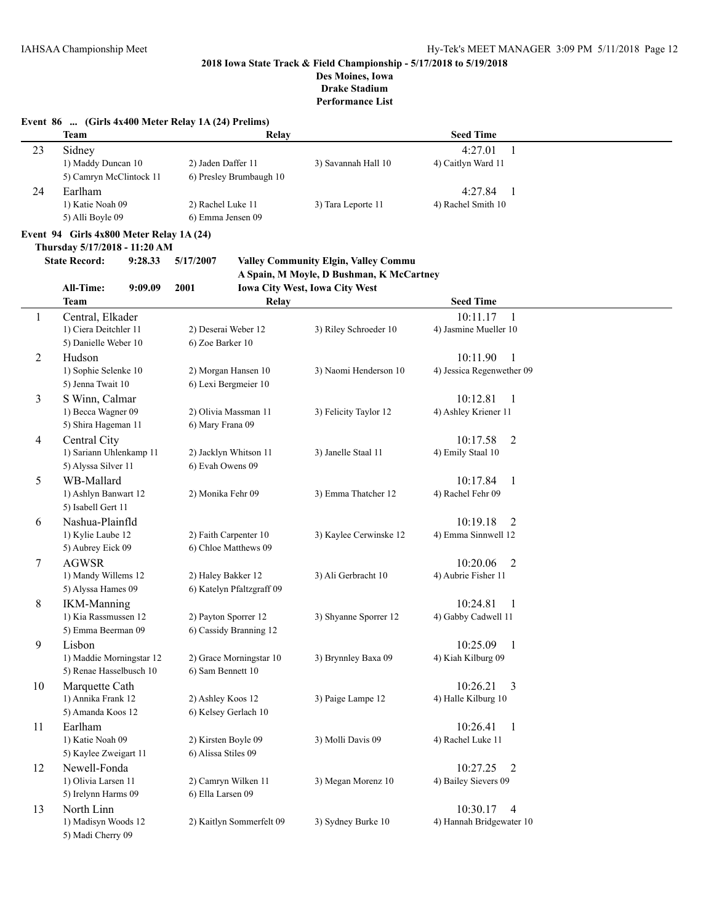### **2018 Iowa State Track & Field Championship - 5/17/2018 to 5/19/2018 Des Moines, Iowa**

# **Drake Stadium**

**Performance List**

### **Event 86 ... (Girls 4x400 Meter Relay 1A (24) Prelims)**

5) Aubrey Eick 09 6) Chloe Matthews 09

5) Alyssa Hames 09 6) Katelyn Pfaltzgraff 09

5) Emma Beerman 09 6) Cassidy Branning 12

5) Renae Hasselbusch 10 6) Sam Bennett 10

5) Amanda Koos 12 6) Kelsey Gerlach 10

5) Kaylee Zweigart 11 6) Alissa Stiles 09

5) Irelynn Harms 09 6) Ella Larsen 09

5) Madi Cherry 09

|    | Team                                     |                         | Relay                                           | <b>Seed Time</b>          |  |
|----|------------------------------------------|-------------------------|-------------------------------------------------|---------------------------|--|
| 23 | Sidney                                   |                         |                                                 | 4:27.01<br>1              |  |
|    | 1) Maddy Duncan 10                       | 2) Jaden Daffer 11      | 3) Savannah Hall 10                             | 4) Caitlyn Ward 11        |  |
|    | 5) Camryn McClintock 11                  | 6) Presley Brumbaugh 10 |                                                 |                           |  |
| 24 | Earlham                                  |                         |                                                 | 4:27.84<br>-1             |  |
|    | 1) Katie Noah 09                         | 2) Rachel Luke 11       | 3) Tara Leporte 11                              | 4) Rachel Smith 10        |  |
|    | 5) Alli Boyle 09                         | 6) Emma Jensen 09       |                                                 |                           |  |
|    | Event 94 Girls 4x800 Meter Relay 1A (24) |                         |                                                 |                           |  |
|    | Thursday 5/17/2018 - 11:20 AM            |                         |                                                 |                           |  |
|    | <b>State Record:</b><br>9:28.33          | 5/17/2007               | <b>Valley Community Elgin, Valley Community</b> |                           |  |
|    |                                          |                         | A Spain, M Moyle, D Bushman, K McCartney        |                           |  |
|    | <b>All-Time:</b><br>9:09.09              | 2001                    | <b>Iowa City West, Iowa City West</b>           |                           |  |
|    | <b>Team</b>                              |                         | Relay                                           | <b>Seed Time</b>          |  |
| 1  | Central, Elkader                         |                         |                                                 | 10:11.17<br>1             |  |
|    | 1) Ciera Deitchler 11                    | 2) Deserai Weber 12     | 3) Riley Schroeder 10                           | 4) Jasmine Mueller 10     |  |
|    | 5) Danielle Weber 10                     | 6) Zoe Barker 10        |                                                 |                           |  |
| 2  | Hudson                                   |                         |                                                 | 10:11.90                  |  |
|    | 1) Sophie Selenke 10                     | 2) Morgan Hansen 10     | 3) Naomi Henderson 10                           | 4) Jessica Regenwether 09 |  |
|    | 5) Jenna Twait 10                        | 6) Lexi Bergmeier 10    |                                                 |                           |  |
| 3  | S Winn, Calmar                           |                         |                                                 | 10:12.81                  |  |
|    | 1) Becca Wagner 09                       | 2) Olivia Massman 11    | 3) Felicity Taylor 12                           | 4) Ashley Kriener 11      |  |
|    | 5) Shira Hageman 11                      | 6) Mary Frana 09        |                                                 |                           |  |
| 4  | Central City                             |                         |                                                 | 10:17.58<br>2             |  |
|    | 1) Sariann Uhlenkamp 11                  | 2) Jacklyn Whitson 11   | 3) Janelle Staal 11                             | 4) Emily Staal 10         |  |
|    | 5) Alyssa Silver 11                      | 6) Evah Owens 09        |                                                 |                           |  |
| 5  | WB-Mallard                               |                         |                                                 | 10:17.84<br>1             |  |
|    | 1) Ashlyn Banwart 12                     | 2) Monika Fehr 09       | 3) Emma Thatcher 12                             | 4) Rachel Fehr 09         |  |
|    | 5) Isabell Gert 11                       |                         |                                                 |                           |  |
| 6  | Nashua-Plainfld                          |                         |                                                 | 10:19.18<br>2             |  |

1) Kylie Laube 12 2) Faith Carpenter 10 3) Kaylee Cerwinske 12 4) Emma Sinnwell 12

7 AGWSR 10:20.06 2 1) Mandy Willems 12 2) Haley Bakker 12 3) Ali Gerbracht 10 4) Aubrie Fisher 11

8 IKM-Manning 10:24.81 1 1) Kia Rassmussen 12 2) Payton Sporrer 12 3) Shyanne Sporrer 12 4) Gabby Cadwell 11

9 Lisbon 10:25.09 1 1) Maddie Morningstar 12 2) Grace Morningstar 10 3) Brynnley Baxa 09 4) Kiah Kilburg 09

10 Marquette Cath 10:26.21 3 1) Annika Frank 12 2) Ashley Koos 12 3) Paige Lampe 12 4) Halle Kilburg 10

11 Earlham 10:26.41 1 1) Katie Noah 09 2) Kirsten Boyle 09 3) Molli Davis 09 4) Rachel Luke 11

12 Newell-Fonda 10:27.25 2 1) Olivia Larsen 11 2) Camryn Wilken 11 3) Megan Morenz 10 4) Bailey Sievers 09

13 North Linn 10:30.17 4

1) Madisyn Woods 12 2) Kaitlyn Sommerfelt 09 3) Sydney Burke 10 4) Hannah Bridgewater 10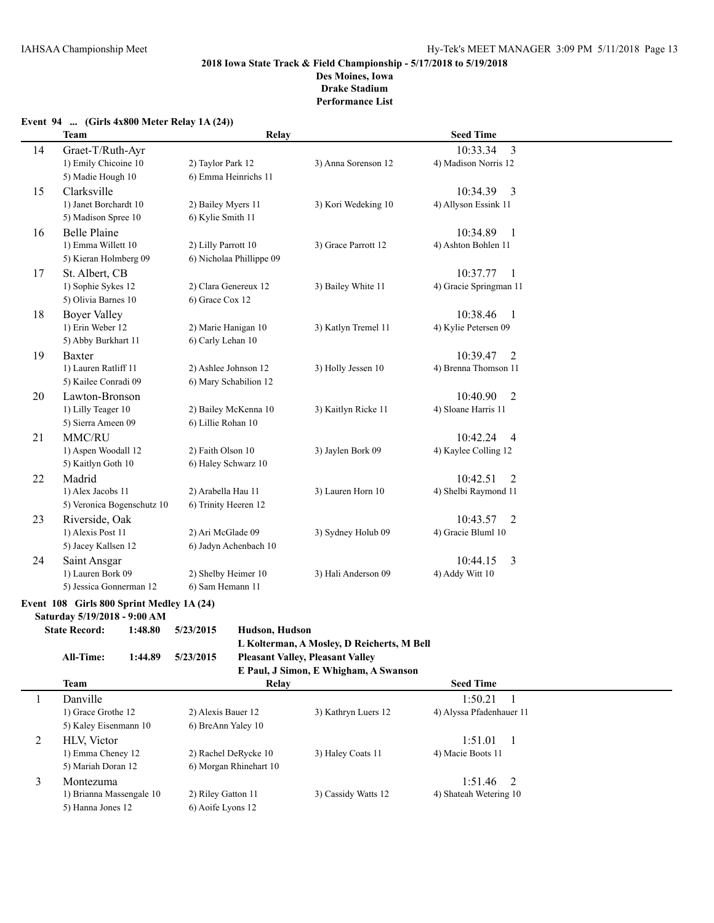### **Event 94 ... (Girls 4x800 Meter Relay 1A (24))**

|    | <b>Team</b>                | Relay                    |                     | <b>Seed Time</b>           |  |
|----|----------------------------|--------------------------|---------------------|----------------------------|--|
| 14 | Graet-T/Ruth-Ayr           |                          |                     | 3<br>10:33.34              |  |
|    | 1) Emily Chicoine 10       | 2) Taylor Park 12        | 3) Anna Sorenson 12 | 4) Madison Norris 12       |  |
|    | 5) Madie Hough 10          | 6) Emma Heinrichs 11     |                     |                            |  |
| 15 | Clarksville                |                          |                     | 10:34.39<br>3              |  |
|    | 1) Janet Borchardt 10      | 2) Bailey Myers 11       | 3) Kori Wedeking 10 | 4) Allyson Essink 11       |  |
|    | 5) Madison Spree 10        | 6) Kylie Smith 11        |                     |                            |  |
| 16 | <b>Belle Plaine</b>        |                          |                     | 10:34.89<br>$\overline{1}$ |  |
|    | 1) Emma Willett 10         | 2) Lilly Parrott 10      | 3) Grace Parrott 12 | 4) Ashton Bohlen 11        |  |
|    | 5) Kieran Holmberg 09      | 6) Nicholaa Phillippe 09 |                     |                            |  |
| 17 | St. Albert, CB             |                          |                     | 10:37.77<br>$\overline{1}$ |  |
|    | 1) Sophie Sykes 12         | 2) Clara Genereux 12     | 3) Bailey White 11  | 4) Gracie Springman 11     |  |
|    | 5) Olivia Barnes 10        | 6) Grace Cox 12          |                     |                            |  |
| 18 | <b>Boyer Valley</b>        |                          |                     | 10:38.46<br>$\overline{1}$ |  |
|    | 1) Erin Weber 12           | 2) Marie Hanigan 10      | 3) Katlyn Tremel 11 | 4) Kylie Petersen 09       |  |
|    | 5) Abby Burkhart 11        | 6) Carly Lehan 10        |                     |                            |  |
| 19 | <b>Baxter</b>              |                          |                     | 10:39.47<br>2              |  |
|    | 1) Lauren Ratliff 11       | 2) Ashlee Johnson 12     | 3) Holly Jessen 10  | 4) Brenna Thomson 11       |  |
|    | 5) Kailee Conradi 09       | 6) Mary Schabilion 12    |                     |                            |  |
| 20 | Lawton-Bronson             |                          |                     | 10:40.90<br>2              |  |
|    | 1) Lilly Teager 10         | 2) Bailey McKenna 10     | 3) Kaitlyn Ricke 11 | 4) Sloane Harris 11        |  |
|    | 5) Sierra Ameen 09         | 6) Lillie Rohan 10       |                     |                            |  |
| 21 | MMC/RU                     |                          |                     | 10:42.24<br>$\overline{4}$ |  |
|    | 1) Aspen Woodall 12        | 2) Faith Olson 10        | 3) Jaylen Bork 09   | 4) Kaylee Colling 12       |  |
|    | 5) Kaitlyn Goth 10         | 6) Haley Schwarz 10      |                     |                            |  |
| 22 | Madrid                     |                          |                     | 10:42.51<br>$\overline{2}$ |  |
|    | 1) Alex Jacobs 11          | 2) Arabella Hau 11       | 3) Lauren Horn 10   | 4) Shelbi Raymond 11       |  |
|    | 5) Veronica Bogenschutz 10 | 6) Trinity Heeren 12     |                     |                            |  |
| 23 | Riverside, Oak             |                          |                     | 10:43.57<br>2              |  |
|    | 1) Alexis Post 11          | 2) Ari McGlade 09        | 3) Sydney Holub 09  | 4) Gracie Bluml 10         |  |
|    | 5) Jacey Kallsen 12        | 6) Jadyn Achenbach 10    |                     |                            |  |
| 24 | Saint Ansgar               |                          |                     | 3<br>10:44.15              |  |
|    | 1) Lauren Bork 09          | 2) Shelby Heimer 10      | 3) Hali Anderson 09 | 4) Addy Witt 10            |  |
|    | 5) Jessica Gonnerman 12    | 6) Sam Hemann 11         |                     |                            |  |

## **Event 108 Girls 800 Sprint Medley 1A (24)**

**Saturday 5/19/2018 - 9:00 AM State Record: 1:48.80** 

| te Record: | 1:48.80 | 5/23/2015 | Hudson, Hudson                             |
|------------|---------|-----------|--------------------------------------------|
|            |         |           | L Kolterman, A Mosley, D Reicherts, M Bell |
| All-Time:  | 1:44.89 | 5/23/2015 | <b>Pleasant Valley, Pleasant Valley</b>    |
|            |         |           | E Paul. J Simon. E Whicham. A Swanson      |

|                | E Faul, J Shilon, E Whigham, A Swallson |                        |                     |                          |  |  |  |
|----------------|-----------------------------------------|------------------------|---------------------|--------------------------|--|--|--|
|                | Team                                    | Relay                  |                     | <b>Seed Time</b>         |  |  |  |
|                | Danville                                |                        |                     | 1:50.21                  |  |  |  |
|                | 1) Grace Grothe 12                      | 2) Alexis Bauer 12     | 3) Kathryn Luers 12 | 4) Alyssa Pfadenhauer 11 |  |  |  |
|                | 5) Kaley Eisenmann 10                   | 6) BreAnn Yaley 10     |                     |                          |  |  |  |
| $\overline{ }$ | <b>HLV.</b> Victor                      |                        |                     | 1:51.01                  |  |  |  |
|                | 1) Emma Cheney 12                       | 2) Rachel DeRycke 10   | 3) Haley Coats 11   | 4) Macie Boots 11        |  |  |  |
|                | 5) Mariah Doran 12                      | 6) Morgan Rhinehart 10 |                     |                          |  |  |  |
|                | Montezuma                               |                        |                     | 1:51.46<br>- 2           |  |  |  |
|                | 1) Brianna Massengale 10                | 2) Riley Gatton 11     | 3) Cassidy Watts 12 | 4) Shateah Wetering 10   |  |  |  |
|                | 5) Hanna Jones 12                       | 6) Aoife Lyons 12      |                     |                          |  |  |  |
|                |                                         |                        |                     |                          |  |  |  |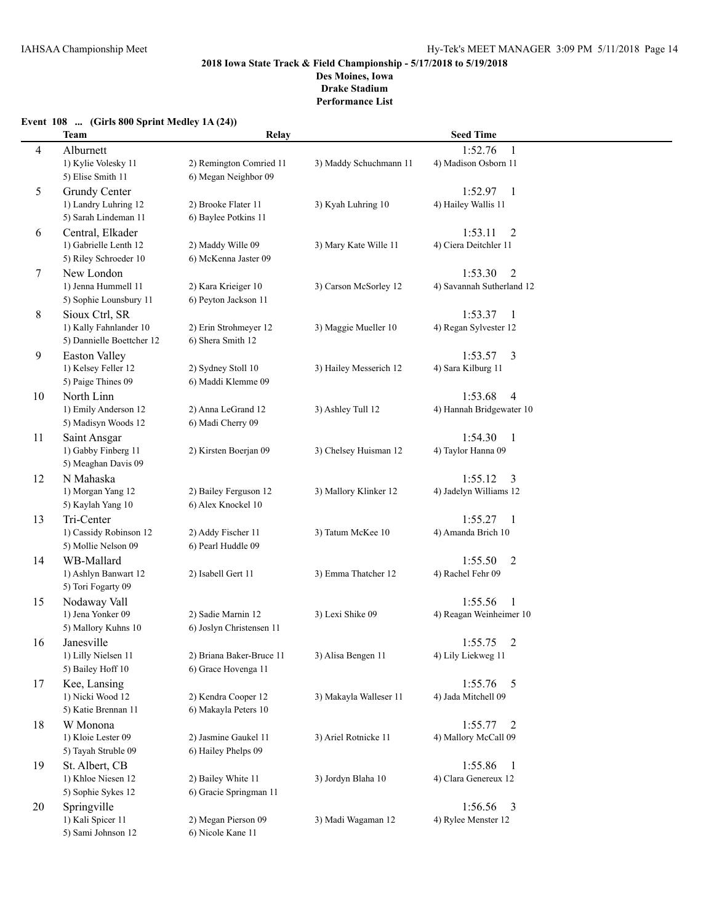# **2018 Iowa State Track & Field Championship - 5/17/2018 to 5/19/2018 Des Moines, Iowa**

**Drake Stadium Performance List**

### **Event 108 ... (Girls 800 Sprint Medley 1A (24))**

|                | <b>Team</b>                                   | Relay                                    |                        | <b>Seed Time</b>                  |  |
|----------------|-----------------------------------------------|------------------------------------------|------------------------|-----------------------------------|--|
| $\overline{4}$ | Alburnett                                     |                                          |                        | 1:52.76<br>1                      |  |
|                | 1) Kylie Volesky 11                           | 2) Remington Comried 11                  | 3) Maddy Schuchmann 11 | 4) Madison Osborn 11              |  |
|                | 5) Elise Smith 11                             | 6) Megan Neighbor 09                     |                        |                                   |  |
| 5              | <b>Grundy Center</b>                          |                                          |                        | 1:52.97<br>-1                     |  |
|                | 1) Landry Luhring 12                          | 2) Brooke Flater 11                      | 3) Kyah Luhring 10     | 4) Hailey Wallis 11               |  |
|                | 5) Sarah Lindeman 11                          | 6) Baylee Potkins 11                     |                        |                                   |  |
| 6              | Central, Elkader                              |                                          |                        | 1:53.11<br>2                      |  |
|                | 1) Gabrielle Lenth 12                         | 2) Maddy Wille 09                        | 3) Mary Kate Wille 11  | 4) Ciera Deitchler 11             |  |
|                | 5) Riley Schroeder 10                         | 6) McKenna Jaster 09                     |                        |                                   |  |
| 7              | New London                                    |                                          |                        | 1:53.30<br>$\overline{2}$         |  |
|                | 1) Jenna Hummell 11                           | 2) Kara Krieiger 10                      | 3) Carson McSorley 12  | 4) Savannah Sutherland 12         |  |
|                | 5) Sophie Lounsbury 11                        | 6) Peyton Jackson 11                     |                        |                                   |  |
| 8              | Sioux Ctrl, SR                                |                                          |                        | 1:53.37<br>$\mathbf{1}$           |  |
|                | 1) Kally Fahnlander 10                        | 2) Erin Strohmeyer 12                    | 3) Maggie Mueller 10   | 4) Regan Sylvester 12             |  |
|                | 5) Dannielle Boettcher 12                     | 6) Shera Smith 12                        |                        |                                   |  |
| 9              | <b>Easton Valley</b>                          |                                          |                        | 1:53.57<br>3                      |  |
|                | 1) Kelsey Feller 12                           | 2) Sydney Stoll 10                       | 3) Hailey Messerich 12 | 4) Sara Kilburg 11                |  |
|                | 5) Paige Thines 09                            | 6) Maddi Klemme 09                       |                        |                                   |  |
| 10             | North Linn                                    |                                          |                        | 1:53.68<br>4                      |  |
|                | 1) Emily Anderson 12                          | 2) Anna LeGrand 12                       | 3) Ashley Tull 12      | 4) Hannah Bridgewater 10          |  |
|                | 5) Madisyn Woods 12                           | 6) Madi Cherry 09                        |                        |                                   |  |
| 11             | Saint Ansgar                                  |                                          |                        | 1:54.30<br>$\overline{1}$         |  |
|                | 1) Gabby Finberg 11                           | 2) Kirsten Boerjan 09                    | 3) Chelsey Huisman 12  | 4) Taylor Hanna 09                |  |
|                | 5) Meaghan Davis 09                           |                                          |                        |                                   |  |
| 12             | N Mahaska                                     |                                          |                        | 1:55.12<br>3                      |  |
|                | 1) Morgan Yang 12                             | 2) Bailey Ferguson 12                    | 3) Mallory Klinker 12  | 4) Jadelyn Williams 12            |  |
|                | 5) Kaylah Yang 10                             | 6) Alex Knockel 10                       |                        |                                   |  |
| 13             | Tri-Center                                    |                                          |                        | 1:55.27<br>1                      |  |
|                | 1) Cassidy Robinson 12<br>5) Mollie Nelson 09 | 2) Addy Fischer 11<br>6) Pearl Huddle 09 | 3) Tatum McKee 10      | 4) Amanda Brich 10                |  |
|                |                                               |                                          |                        |                                   |  |
| 14             | WB-Mallard<br>1) Ashlyn Banwart 12            | 2) Isabell Gert 11                       | 3) Emma Thatcher 12    | 1:55.50<br>2<br>4) Rachel Fehr 09 |  |
|                | 5) Tori Fogarty 09                            |                                          |                        |                                   |  |
|                |                                               |                                          |                        | 1:55.56<br>1                      |  |
| 15             | Nodaway Vall<br>1) Jena Yonker 09             | 2) Sadie Marnin 12                       | 3) Lexi Shike 09       | 4) Reagan Weinheimer 10           |  |
|                | 5) Mallory Kuhns 10                           | 6) Joslyn Christensen 11                 |                        |                                   |  |
| 16             | Janesville                                    |                                          |                        | 1:55.75<br>2                      |  |
|                | 1) Lilly Nielsen 11                           | 2) Briana Baker-Bruce 11                 | 3) Alisa Bengen 11     | 4) Lily Liekweg 11                |  |
|                | 5) Bailey Hoff 10                             | 6) Grace Hovenga 11                      |                        |                                   |  |
| 17             | Kee, Lansing                                  |                                          |                        | 1:55.76<br>$\overline{5}$         |  |
|                | 1) Nicki Wood 12                              | 2) Kendra Cooper 12                      | 3) Makayla Walleser 11 | 4) Jada Mitchell 09               |  |
|                | 5) Katie Brennan 11                           | 6) Makayla Peters 10                     |                        |                                   |  |
| 18             | W Monona                                      |                                          |                        | $1:55.77$ 2                       |  |
|                | 1) Kloie Lester 09                            | 2) Jasmine Gaukel 11                     | 3) Ariel Rotnicke 11   | 4) Mallory McCall 09              |  |
|                | 5) Tayah Struble 09                           | 6) Hailey Phelps 09                      |                        |                                   |  |
| 19             | St. Albert, CB                                |                                          |                        | 1:55.86<br>$\mathbf{1}$           |  |
|                | 1) Khloe Niesen 12                            | 2) Bailey White 11                       | 3) Jordyn Blaha 10     | 4) Clara Genereux 12              |  |
|                | 5) Sophie Sykes 12                            | 6) Gracie Springman 11                   |                        |                                   |  |
| 20             | Springville                                   |                                          |                        | 1:56.56<br>3                      |  |
|                | 1) Kali Spicer 11                             | 2) Megan Pierson 09                      | 3) Madi Wagaman 12     | 4) Rylee Menster 12               |  |
|                | 5) Sami Johnson 12                            | 6) Nicole Kane 11                        |                        |                                   |  |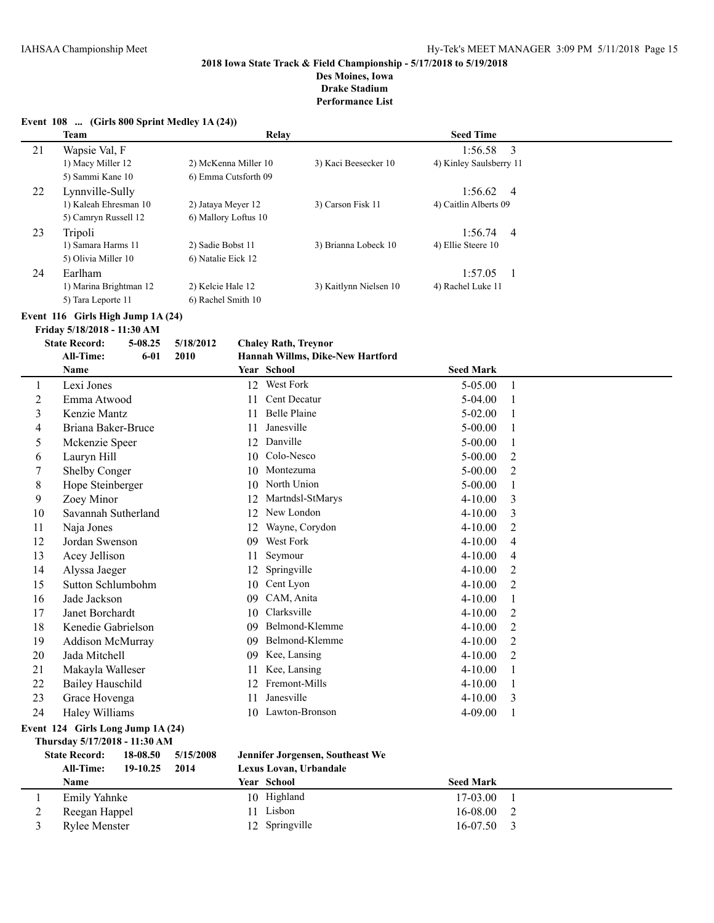# **Des Moines, Iowa**

**Drake Stadium Performance List**

**Event 108 ... (Girls 800 Sprint Medley 1A (24)) Team Relay Seed Time** 21 Wapsie Val, F 1:56.58 3 1) Macy Miller 12 2) McKenna Miller 10 3) Kaci Beesecker 10 4) Kinley Saulsberry 11 5) Sammi Kane 10 6) Emma Cutsforth 09 22 Lynnville-Sully 1:56.62 4<br>1) Kaleah Ehresman 10 2) Jatava Mever 12 3) Carson Fisk 11 4) Caitlin Alberts 09 1) Kaleah Ehresman 10 5) Camryn Russell 12 6) Mallory Loftus 10 23 Tripoli 1:56.74 4 1) Samara Harms 11 2) Sadie Bobst 11 3) Brianna Lobeck 10 4) Ellie Steere 10 5) Olivia Miller 10 6) Natalie Eick 12 24 Earlham 1:57.05 1 1) Marina Brightman 12 2) Kelcie Hale 12 3) Kaitlynn Nielsen 10 4) Rachel Luke 11 5) Tara Leporte 11 6) Rachel Smith 10 **Event 116 Girls High Jump 1A (24) Friday 5/18/2018 - 11:30 AM State Record: 5-08.25 5/18/2012 Chaley Rath, Treynor All-Time: 6-01 2010 Hannah Willms, Dike-New Hartford Name Year School Seed Mark** 1 Lexi Jones 12 West Fork 5-05.00 1 2 Emma Atwood 11 Cent Decatur 5-04.00 1 3 Kenzie Mantz 11 Belle Plaine 5-02.00 1 4 Briana Baker-Bruce 11 Janesville 5-00.00 1<br>5 Mckenzie Speer 12 Danville 5-00.00 1 5 Mckenzie Speer 12 Danville 5-00.00 1 6 Lauryn Hill 10 Colo-Nesco 5-00.00 2 7 Shelby Conger 10 Montezuma 5-00.00 2 8 Hope Steinberger 10 North Union 5-00.00 1 9 Zoey Minor 12 Martndsl-StMarys 4-10.00 3 10 Savannah Sutherland 12 New London 4-10.00 3 11 Naja Jones 12 Wayne, Corydon 4-10.00 2 12 Jordan Swenson 09 West Fork 4-10.00 4 13 Acey Jellison 11 Seymour 4-10.00 4 14 Alyssa Jaeger 12 Springville 4-10.00 2 15 Sutton Schlumbohm 10 Cent Lyon 4-10.00 2 16 Jade Jackson 09 CAM, Anita 4-10.00 1 17 Janet Borchardt 10 Clarksville 4-10.00 2 18 Kenedie Gabrielson 09 Belmond-Klemme 4-10.00 2 19 Addison McMurray 09 Belmond-Klemme 4-10.00 2 20 Jada Mitchell 09 Kee, Lansing 4-10.00 2 21 Makayla Walleser 11 Kee, Lansing 4-10.00 1 22 Bailey Hauschild 12 Fremont-Mills 4-10.00 1 23 Grace Hovenga 11 Janesville 4-10.00 3 24 Haley Williams 10 Lawton-Bronson 4-09.00 1 **Event 124 Girls Long Jump 1A (24) Thursday 5/17/2018 - 11:30 AM State Record: 18-08.50 5/15/2008 Jennifer Jorgensen, Southeast We All-Time: 19-10.25 2014 Lexus Lovan, Urbandale Name Year School Seed Mark** 1 Emily Yahnke 10 Highland 17-03.00 1

2 Reegan Happel 11 Lisbon 16-08.00 2 3 Rylee Menster 12 Springville 16-07.50 3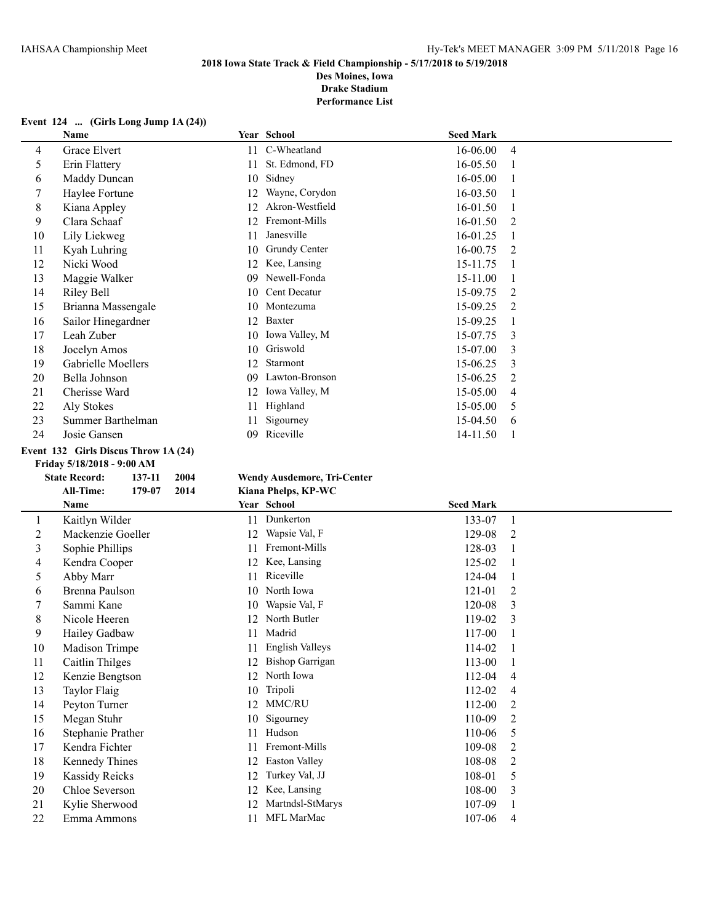**Des Moines, Iowa Drake Stadium**

**Performance List**

### **Event 124 ... (Girls Long Jump 1A (24))**

|    | Name               |     | Year School     | <b>Seed Mark</b> |                |
|----|--------------------|-----|-----------------|------------------|----------------|
| 4  | Grace Elvert       | 11  | C-Wheatland     | 16-06.00         | $\overline{4}$ |
| 5  | Erin Flattery      | 11  | St. Edmond, FD  | 16-05.50         |                |
| 6  | Maddy Duncan       | 10  | Sidney          | 16-05.00         |                |
|    | Haylee Fortune     | 12  | Wayne, Corydon  | 16-03.50         |                |
| 8  | Kiana Appley       | 12  | Akron-Westfield | 16-01.50         |                |
| 9  | Clara Schaaf       | 12  | Fremont-Mills   | 16-01.50         | 2              |
| 10 | Lily Liekweg       | 11  | Janesville      | 16-01.25         |                |
| 11 | Kyah Luhring       | 10  | Grundy Center   | 16-00.75         | 2              |
| 12 | Nicki Wood         | 12  | Kee, Lansing    | 15-11.75         |                |
| 13 | Maggie Walker      | 09. | Newell-Fonda    | 15-11.00         |                |
| 14 | Riley Bell         | 10  | Cent Decatur    | 15-09.75         | 2              |
| 15 | Brianna Massengale | 10  | Montezuma       | 15-09.25         | $\mathfrak{D}$ |
| 16 | Sailor Hinegardner | 12  | Baxter          | 15-09.25         |                |
| 17 | Leah Zuber         | 10  | Iowa Valley, M  | 15-07.75         | 3              |
| 18 | Jocelyn Amos       | 10  | Griswold        | 15-07.00         | 3              |
| 19 | Gabrielle Moellers | 12  | Starmont        | 15-06.25         | 3              |
| 20 | Bella Johnson      | 09  | Lawton-Bronson  | 15-06.25         | 2              |
| 21 | Cherisse Ward      | 12  | Iowa Valley, M  | $15 - 05.00$     | 4              |
| 22 | Aly Stokes         | 11  | Highland        | 15-05.00         | 5              |
| 23 | Summer Barthelman  | 11  | Sigourney       | 15-04.50         | 6              |
| 24 | Josie Gansen       | 09  | Riceville       | 14-11.50         |                |

### **Event 132 Girls Discus Throw 1A (24)**

**Friday 5/18/2018 - 9:00 AM**

|    | <b>State Record:</b>  | 137-11 | 2004 |    | <b>Wendy Ausdemore, Tri-Center</b> |
|----|-----------------------|--------|------|----|------------------------------------|
|    | All-Time:             | 179-07 | 2014 |    | Kiana Phelps, KP-WC                |
|    | <b>Name</b>           |        |      |    | Year School                        |
| 1  | Kaitlyn Wilder        |        |      | 11 | Dunkerton                          |
| 2  | Mackenzie Goeller     |        |      | 12 | Wapsie Val, F                      |
| 3  | Sophie Phillips       |        |      | 11 | Fremont-Mills                      |
| 4  | Kendra Cooper         |        |      | 12 | Kee, Lansing                       |
| 5  | Abby Marr             |        |      | 11 | Riceville                          |
| 6  | Brenna Paulson        |        |      | 10 | North Iowa                         |
| 7  | Sammi Kane            |        |      | 10 | Wapsie Val, F                      |
| 8  | Nicole Heeren         |        |      | 12 | North Butler                       |
| 9  | Hailey Gadbaw         |        |      | 11 | Madrid                             |
| 10 | <b>Madison Trimpe</b> |        |      | 11 | <b>English Valleys</b>             |
| 11 | Caitlin Thilges       |        |      | 12 | <b>Bishop Garrigan</b>             |
| 12 | Kenzie Bengtson       |        |      | 12 | North Iowa                         |
| 13 | <b>Taylor Flaig</b>   |        |      | 10 | Tripoli                            |
| 14 | Peyton Turner         |        |      | 12 | MMC/RU                             |
| 15 | Megan Stuhr           |        |      | 10 | Sigourney                          |
| 16 | Stephanie Prather     |        |      | 11 | Hudson                             |
| 17 | Kendra Fichter        |        |      | 11 | Fremont-Mills                      |
| 18 | Kennedy Thines        |        |      | 12 | Easton Valley                      |
| 19 | <b>Kassidy Reicks</b> |        |      | 12 | Turkey Val, JJ                     |
| 20 | Chloe Severson        |        |      | 12 | Kee, Lansing                       |
| 21 | Kylie Sherwood        |        |      | 12 | Martndsl-StMarys                   |

| <b>Wendy Ausdemore, Tri-Center</b> |  |
|------------------------------------|--|
|------------------------------------|--|

|  | Kiana Phelps, KP-WC |
|--|---------------------|
|--|---------------------|

|    | <b>Name</b>           |    | Year School            | <b>Seed Mark</b> |   |
|----|-----------------------|----|------------------------|------------------|---|
| 1  | Kaitlyn Wilder        | 11 | Dunkerton              | 133-07           |   |
| 2  | Mackenzie Goeller     | 12 | Wapsie Val, F          | 129-08           | 2 |
| 3  | Sophie Phillips       | 11 | Fremont-Mills          | 128-03           |   |
| 4  | Kendra Cooper         | 12 | Kee, Lansing           | 125-02           |   |
| 5  | Abby Marr             | 11 | Riceville              | 124-04           |   |
| 6  | Brenna Paulson        | 10 | North Iowa             | 121-01           | 2 |
|    | Sammi Kane            | 10 | Wapsie Val, F          | 120-08           | 3 |
| 8  | Nicole Heeren         | 12 | North Butler           | 119-02           | 3 |
| 9  | Hailey Gadbaw         | 11 | Madrid                 | 117-00           |   |
| 10 | <b>Madison Trimpe</b> | 11 | <b>English Valleys</b> | 114-02           |   |
| 11 | Caitlin Thilges       | 12 | <b>Bishop Garrigan</b> | 113-00           |   |
| 12 | Kenzie Bengtson       | 12 | North Iowa             | 112-04           | 4 |
| 13 | Taylor Flaig          | 10 | Tripoli                | 112-02           | 4 |
| 14 | Peyton Turner         | 12 | <b>MMC/RU</b>          | 112-00           | 2 |
| 15 | Megan Stuhr           | 10 | Sigourney              | 110-09           | 2 |
| 16 | Stephanie Prather     | 11 | Hudson                 | 110-06           | 5 |
| 17 | Kendra Fichter        | 11 | Fremont-Mills          | 109-08           | 2 |
| 18 | Kennedy Thines        | 12 | <b>Easton Valley</b>   | 108-08           | 2 |
| 19 | <b>Kassidy Reicks</b> | 12 | Turkey Val, JJ         | 108-01           | 5 |
| 20 | Chloe Severson        | 12 | Kee, Lansing           | 108-00           | 3 |
| 21 | Kylie Sherwood        | 12 | Martndsl-StMarys       | 107-09           |   |
| 22 | Emma Ammons           | 11 | MFL MarMac             | 107-06           | 4 |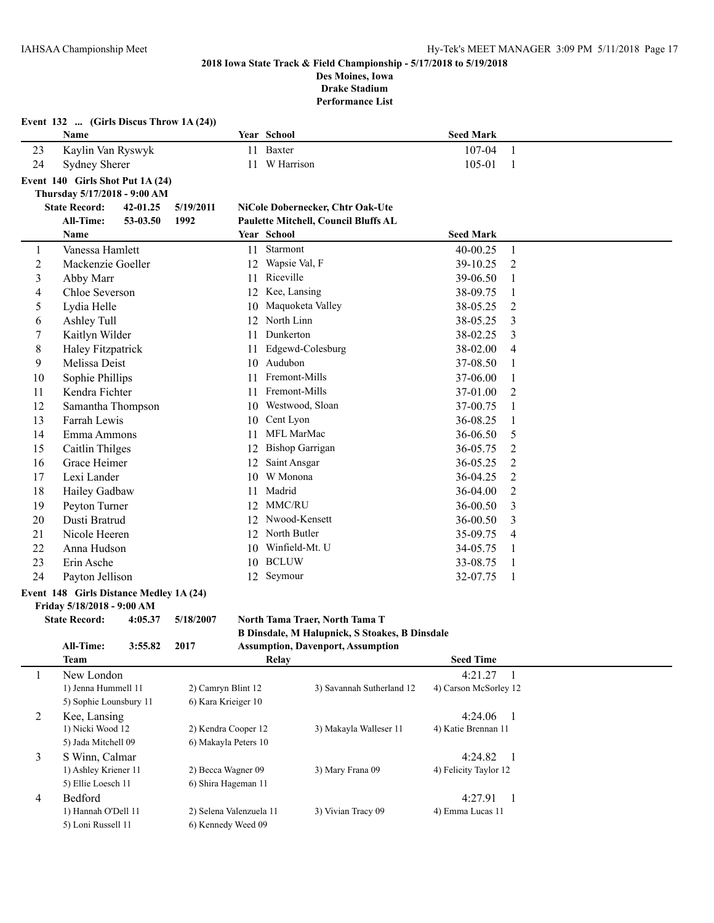**Event 132 ... (Girls Discus Throw 1A (24))**

### **2018 Iowa State Track & Field Championship - 5/17/2018 to 5/19/2018 Des Moines, Iowa**

**Drake Stadium**

**Performance List**

|                  | Name                                    |          |                         |    | Year School            |                                                | <b>Seed Mark</b>      |                |  |
|------------------|-----------------------------------------|----------|-------------------------|----|------------------------|------------------------------------------------|-----------------------|----------------|--|
| 23               | Kaylin Van Ryswyk                       |          |                         |    | 11 Baxter              |                                                | 107-04                | $\mathbf{1}$   |  |
| 24               | <b>Sydney Sherer</b>                    |          |                         |    | 11 W Harrison          |                                                | 105-01                | -1             |  |
|                  | Event 140 Girls Shot Put 1A (24)        |          |                         |    |                        |                                                |                       |                |  |
|                  | Thursday 5/17/2018 - 9:00 AM            |          |                         |    |                        |                                                |                       |                |  |
|                  | <b>State Record:</b>                    | 42-01.25 | 5/19/2011               |    |                        | NiCole Dobernecker, Chtr Oak-Ute               |                       |                |  |
|                  | <b>All-Time:</b>                        | 53-03.50 | 1992                    |    |                        | Paulette Mitchell, Council Bluffs AL           |                       |                |  |
|                  | Name                                    |          |                         |    | Year School            |                                                | <b>Seed Mark</b>      |                |  |
| 1                | Vanessa Hamlett                         |          |                         | 11 | Starmont               |                                                | 40-00.25              | $\mathbf{1}$   |  |
| $\overline{2}$   | Mackenzie Goeller                       |          |                         | 12 | Wapsie Val, F          |                                                | 39-10.25              | $\overline{2}$ |  |
| $\mathfrak{Z}$   | Abby Marr                               |          |                         | 11 | Riceville              |                                                | 39-06.50              | 1              |  |
| $\overline{4}$   | Chloe Severson                          |          |                         | 12 | Kee, Lansing           |                                                | 38-09.75              | $\mathbf{1}$   |  |
| 5                | Lydia Helle                             |          |                         | 10 | Maquoketa Valley       |                                                | 38-05.25              | $\overline{2}$ |  |
| 6                | Ashley Tull                             |          |                         |    | 12 North Linn          |                                                | 38-05.25              | 3              |  |
| $\boldsymbol{7}$ | Kaitlyn Wilder                          |          |                         | 11 | Dunkerton              |                                                | 38-02.25              | 3              |  |
| 8                | Haley Fitzpatrick                       |          |                         |    | 11 Edgewd-Colesburg    |                                                | 38-02.00              | $\overline{4}$ |  |
| 9                | Melissa Deist                           |          |                         |    | 10 Audubon             |                                                | 37-08.50              | 1              |  |
| 10               | Sophie Phillips                         |          |                         |    | 11 Fremont-Mills       |                                                | 37-06.00              | $\mathbf{1}$   |  |
| 11               | Kendra Fichter                          |          |                         | 11 | Fremont-Mills          |                                                | 37-01.00              | $\overline{2}$ |  |
| 12               | Samantha Thompson                       |          |                         | 10 | Westwood, Sloan        |                                                | 37-00.75              | 1              |  |
| 13               | Farrah Lewis                            |          |                         | 10 | Cent Lyon              |                                                | 36-08.25              | 1              |  |
| 14               | Emma Ammons                             |          |                         | 11 | MFL MarMac             |                                                | 36-06.50              | 5              |  |
| 15               | Caitlin Thilges                         |          |                         | 12 | <b>Bishop Garrigan</b> |                                                | 36-05.75              | $\overline{2}$ |  |
| 16               | Grace Heimer                            |          |                         | 12 | Saint Ansgar           |                                                | 36-05.25              | $\overline{2}$ |  |
| 17               | Lexi Lander                             |          |                         | 10 | W Monona               |                                                | 36-04.25              | $\overline{2}$ |  |
| 18               | Hailey Gadbaw                           |          |                         | 11 | Madrid                 |                                                | 36-04.00              | $\overline{2}$ |  |
| 19               | Peyton Turner                           |          |                         |    | 12 MMC/RU              |                                                | 36-00.50              | 3              |  |
| 20               | Dusti Bratrud                           |          |                         |    | 12 Nwood-Kensett       |                                                | 36-00.50              | 3              |  |
| 21               | Nicole Heeren                           |          |                         |    | 12 North Butler        |                                                | 35-09.75              | 4              |  |
| 22               | Anna Hudson                             |          |                         |    | 10 Winfield-Mt. U      |                                                | 34-05.75              | 1              |  |
| 23               | Erin Asche                              |          |                         |    | 10 BCLUW               |                                                | 33-08.75              | 1              |  |
| 24               | Payton Jellison                         |          |                         |    | 12 Seymour             |                                                | 32-07.75              | $\mathbf{1}$   |  |
|                  | Event 148 Girls Distance Medley 1A (24) |          |                         |    |                        |                                                |                       |                |  |
|                  | Friday 5/18/2018 - 9:00 AM              |          |                         |    |                        |                                                |                       |                |  |
|                  | <b>State Record:</b>                    | 4:05.37  | 5/18/2007               |    |                        | North Tama Traer, North Tama T                 |                       |                |  |
|                  |                                         |          |                         |    |                        | B Dinsdale, M Halupnick, S Stoakes, B Dinsdale |                       |                |  |
|                  | All-Time:                               | 3:55.82  | 2017                    |    |                        | <b>Assumption, Davenport, Assumption</b>       |                       |                |  |
|                  | <b>Team</b>                             |          |                         |    | Relay                  |                                                | <b>Seed Time</b>      |                |  |
| 1                | New London                              |          |                         |    |                        |                                                | 4:21.27               | -1             |  |
|                  | 1) Jenna Hummell 11                     |          | 2) Camryn Blint 12      |    |                        | 3) Savannah Sutherland 12                      | 4) Carson McSorley 12 |                |  |
|                  | 5) Sophie Lounsbury 11                  |          | 6) Kara Krieiger 10     |    |                        |                                                |                       |                |  |
| $\overline{2}$   | Kee, Lansing                            |          |                         |    |                        |                                                | 4:24.06               | $\overline{1}$ |  |
|                  | 1) Nicki Wood 12                        |          | 2) Kendra Cooper 12     |    |                        | 3) Makayla Walleser 11                         | 4) Katie Brennan 11   |                |  |
|                  | 5) Jada Mitchell 09                     |          | 6) Makayla Peters 10    |    |                        |                                                |                       |                |  |
| $\mathfrak{Z}$   | S Winn, Calmar                          |          |                         |    |                        |                                                | 4:24.82               | $\overline{1}$ |  |
|                  | 1) Ashley Kriener 11                    |          | 2) Becca Wagner 09      |    |                        | 3) Mary Frana 09                               | 4) Felicity Taylor 12 |                |  |
|                  | 5) Ellie Loesch 11                      |          | 6) Shira Hageman 11     |    |                        |                                                |                       |                |  |
| $\overline{4}$   | Bedford<br>1) Hannah O'Dell 11          |          | 2) Selena Valenzuela 11 |    |                        | 3) Vivian Tracy 09                             | 4:27.91               | $\overline{1}$ |  |
|                  | 5) Loni Russell 11                      |          | 6) Kennedy Weed 09      |    |                        |                                                | 4) Emma Lucas 11      |                |  |
|                  |                                         |          |                         |    |                        |                                                |                       |                |  |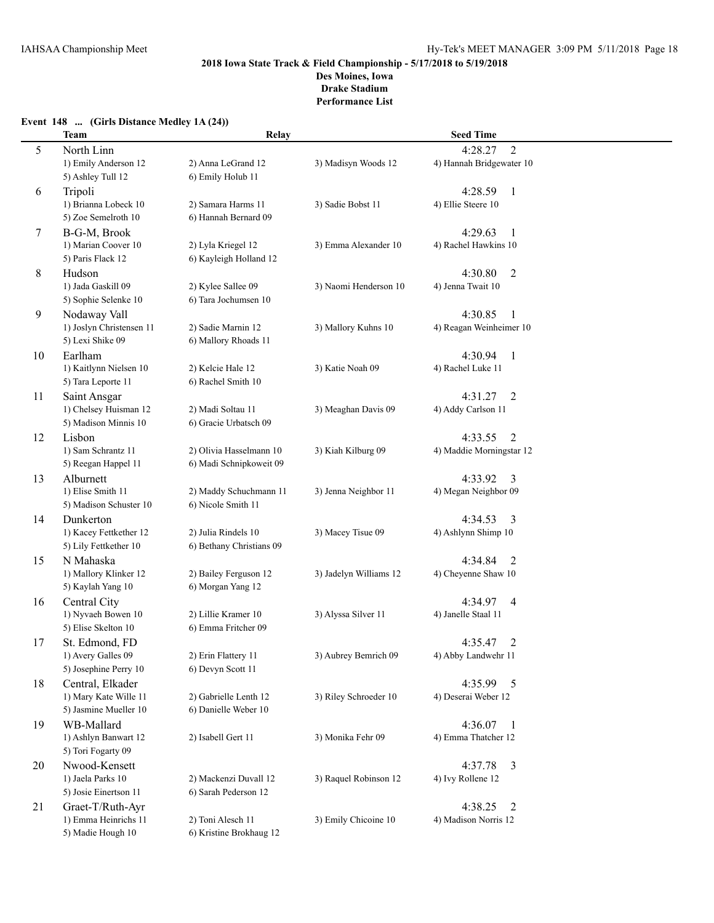**Performance List**

### **Event 148 ... (Girls Distance Medley 1A (24))**

|    | <b>Team</b>                                                        | Relay                                              |                        | <b>Seed Time</b>                                      |  |
|----|--------------------------------------------------------------------|----------------------------------------------------|------------------------|-------------------------------------------------------|--|
| 5  | North Linn<br>1) Emily Anderson 12<br>5) Ashley Tull 12            | 2) Anna LeGrand 12<br>6) Emily Holub 11            | 3) Madisyn Woods 12    | $\overline{2}$<br>4:28.27<br>4) Hannah Bridgewater 10 |  |
| 6  | Tripoli<br>1) Brianna Lobeck 10<br>5) Zoe Semelroth 10             | 2) Samara Harms 11<br>6) Hannah Bernard 09         | 3) Sadie Bobst 11      | 4:28.59<br>-1<br>4) Ellie Steere 10                   |  |
| 7  | B-G-M, Brook<br>1) Marian Coover 10<br>5) Paris Flack 12           | 2) Lyla Kriegel 12<br>6) Kayleigh Holland 12       | 3) Emma Alexander 10   | 4:29.63<br>$\mathbf{1}$<br>4) Rachel Hawkins 10       |  |
| 8  | Hudson<br>1) Jada Gaskill 09<br>5) Sophie Selenke 10               | 2) Kylee Sallee 09<br>6) Tara Jochumsen 10         | 3) Naomi Henderson 10  | 4:30.80<br>$\overline{2}$<br>4) Jenna Twait 10        |  |
| 9  | Nodaway Vall<br>1) Joslyn Christensen 11<br>5) Lexi Shike 09       | 2) Sadie Marnin 12<br>6) Mallory Rhoads 11         | 3) Mallory Kuhns 10    | 4:30.85<br>1<br>4) Reagan Weinheimer 10               |  |
| 10 | Earlham<br>1) Kaitlynn Nielsen 10<br>5) Tara Leporte 11            | 2) Kelcie Hale 12<br>6) Rachel Smith 10            | 3) Katie Noah 09       | 4:30.94<br>1<br>4) Rachel Luke 11                     |  |
| 11 | Saint Ansgar<br>1) Chelsey Huisman 12<br>5) Madison Minnis 10      | 2) Madi Soltau 11<br>6) Gracie Urbatsch 09         | 3) Meaghan Davis 09    | 4:31.27<br>2<br>4) Addy Carlson 11                    |  |
| 12 | Lisbon<br>1) Sam Schrantz 11<br>5) Reegan Happel 11                | 2) Olivia Hasselmann 10<br>6) Madi Schnipkoweit 09 | 3) Kiah Kilburg 09     | 4:33.55<br>$\overline{2}$<br>4) Maddie Morningstar 12 |  |
| 13 | Alburnett<br>1) Elise Smith 11<br>5) Madison Schuster 10           | 2) Maddy Schuchmann 11<br>6) Nicole Smith 11       | 3) Jenna Neighbor 11   | 4:33.92<br>3<br>4) Megan Neighbor 09                  |  |
| 14 | Dunkerton<br>1) Kacey Fettkether 12<br>5) Lily Fettkether 10       | 2) Julia Rindels 10<br>6) Bethany Christians 09    | 3) Macey Tisue 09      | 4:34.53<br>3<br>4) Ashlynn Shimp 10                   |  |
| 15 | N Mahaska<br>1) Mallory Klinker 12<br>5) Kaylah Yang 10            | 2) Bailey Ferguson 12<br>6) Morgan Yang 12         | 3) Jadelyn Williams 12 | 4:34.84<br>2<br>4) Cheyenne Shaw 10                   |  |
| 16 | Central City<br>1) Nyvaeh Bowen 10<br>5) Elise Skelton 10          | 2) Lillie Kramer 10<br>6) Emma Fritcher 09         | 3) Alyssa Silver 11    | 4:34.97<br>$\overline{4}$<br>4) Janelle Staal 11      |  |
| 17 | St. Edmond, FD<br>1) Avery Galles 09<br>5) Josephine Perry 10      | 2) Erin Flattery 11<br>6) Devyn Scott 11           | 3) Aubrey Bemrich 09   | 2<br>4:35.47<br>4) Abby Landwehr 11                   |  |
| 18 | Central, Elkader<br>1) Mary Kate Wille 11<br>5) Jasmine Mueller 10 | 2) Gabrielle Lenth 12<br>6) Danielle Weber 10      | 3) Riley Schroeder 10  | 4:35.99 5<br>4) Deserai Weber 12                      |  |
| 19 | WB-Mallard<br>1) Ashlyn Banwart 12<br>5) Tori Fogarty 09           | 2) Isabell Gert 11                                 | 3) Monika Fehr 09      | 4:36.07<br>$\mathbf{1}$<br>4) Emma Thatcher 12        |  |
| 20 | Nwood-Kensett<br>1) Jaela Parks 10<br>5) Josie Einertson 11        | 2) Mackenzi Duvall 12<br>6) Sarah Pederson 12      | 3) Raquel Robinson 12  | 4:37.78<br>3<br>4) Ivy Rollene 12                     |  |
| 21 | Graet-T/Ruth-Ayr<br>1) Emma Heinrichs 11<br>5) Madie Hough 10      | 2) Toni Alesch 11<br>6) Kristine Brokhaug 12       | 3) Emily Chicoine 10   | 4:38.25<br>2<br>4) Madison Norris 12                  |  |